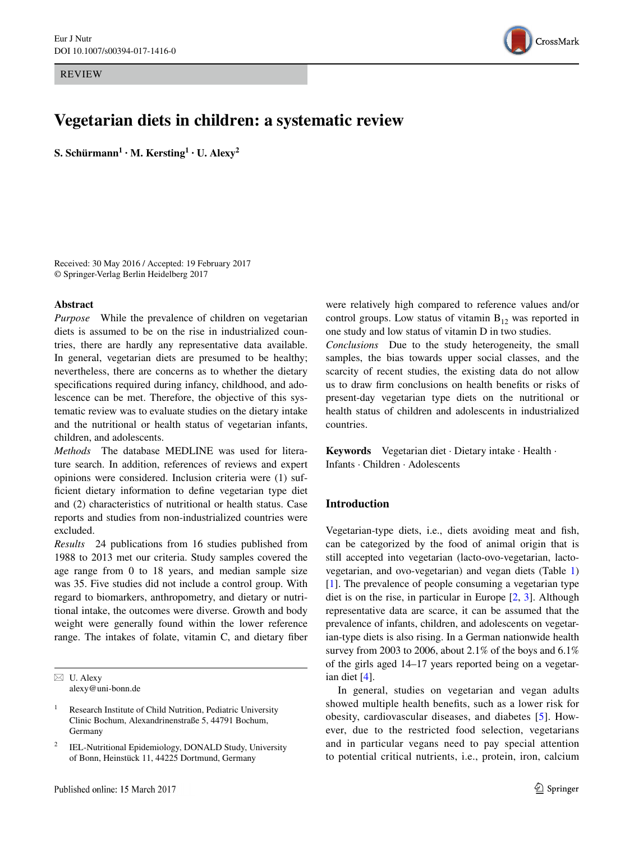REVIEW



# **Vegetarian diets in children: a systematic review**

 $\mathbf{S}.$  Schürmann $^1 \cdot \mathbf{M}.$  Kersting $^1 \cdot \mathbf{U}.$  Alexy $^2$ 

Received: 30 May 2016 / Accepted: 19 February 2017 © Springer-Verlag Berlin Heidelberg 2017

### **Abstract**

*Purpose* While the prevalence of children on vegetarian diets is assumed to be on the rise in industrialized countries, there are hardly any representative data available. In general, vegetarian diets are presumed to be healthy; nevertheless, there are concerns as to whether the dietary specifications required during infancy, childhood, and adolescence can be met. Therefore, the objective of this systematic review was to evaluate studies on the dietary intake and the nutritional or health status of vegetarian infants, children, and adolescents.

*Methods* The database MEDLINE was used for literature search. In addition, references of reviews and expert opinions were considered. Inclusion criteria were (1) sufficient dietary information to define vegetarian type diet and (2) characteristics of nutritional or health status. Case reports and studies from non-industrialized countries were excluded.

*Results* 24 publications from 16 studies published from 1988 to 2013 met our criteria. Study samples covered the age range from 0 to 18 years, and median sample size was 35. Five studies did not include a control group. With regard to biomarkers, anthropometry, and dietary or nutritional intake, the outcomes were diverse. Growth and body weight were generally found within the lower reference range. The intakes of folate, vitamin C, and dietary fiber

 $\boxtimes$  U. Alexy alexy@uni-bonn.de

were relatively high compared to reference values and/or control groups. Low status of vitamin  $B_{12}$  was reported in one study and low status of vitamin D in two studies.

*Conclusions* Due to the study heterogeneity, the small samples, the bias towards upper social classes, and the scarcity of recent studies, the existing data do not allow us to draw firm conclusions on health benefits or risks of present-day vegetarian type diets on the nutritional or health status of children and adolescents in industrialized countries.

**Keywords** Vegetarian diet · Dietary intake · Health · Infants · Children · Adolescents

# **Introduction**

Vegetarian-type diets, i.e., diets avoiding meat and fish, can be categorized by the food of animal origin that is still accepted into vegetarian (lacto-ovo-vegetarian, lactovegetarian, and ovo-vegetarian) and vegan diets (Table [1\)](#page-1-0) [\[1](#page-19-0)]. The prevalence of people consuming a vegetarian type diet is on the rise, in particular in Europe [[2,](#page-19-1) [3](#page-19-2)]. Although representative data are scarce, it can be assumed that the prevalence of infants, children, and adolescents on vegetarian-type diets is also rising. In a German nationwide health survey from 2003 to 2006, about 2.1% of the boys and 6.1% of the girls aged 14–17 years reported being on a vegetarian diet [[4\]](#page-19-3).

In general, studies on vegetarian and vegan adults showed multiple health benefits, such as a lower risk for obesity, cardiovascular diseases, and diabetes [\[5](#page-19-4)]. However, due to the restricted food selection, vegetarians and in particular vegans need to pay special attention to potential critical nutrients, i.e., protein, iron, calcium

<sup>&</sup>lt;sup>1</sup> Research Institute of Child Nutrition, Pediatric University Clinic Bochum, Alexandrinenstraße 5, 44791 Bochum, Germany

IEL-Nutritional Epidemiology, DONALD Study, University of Bonn, Heinstück 11, 44225 Dortmund, Germany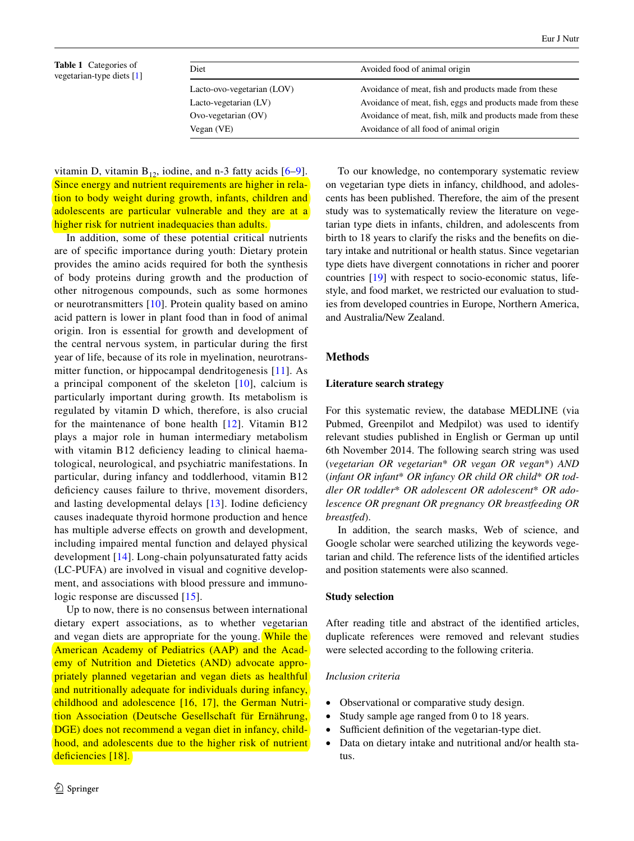<span id="page-1-0"></span>

| <b>Table 1</b> Categories of |
|------------------------------|
| vegetarian-type diets [1]    |

| Diet                       | Avoided food of animal origin                              |
|----------------------------|------------------------------------------------------------|
| Lacto-ovo-vegetarian (LOV) | Avoidance of meat, fish and products made from these       |
| Lacto-vegetarian (LV)      | Avoidance of meat, fish, eggs and products made from these |
| $Ovo-vegetarian (OV)$      | Avoidance of meat, fish, milk and products made from these |
| Vegan(VE)                  | Avoidance of all food of animal origin                     |

vitamin D, vitamin  $B_{12}$ , iodine, and n-3 fatty acids  $[6-9]$  $[6-9]$  $[6-9]$ . Since energy and nutrient requirements are higher in relation to body weight during growth, infants, children and adolescents are particular vulnerable and they are at a higher risk for nutrient inadequacies than adults.

In addition, some of these potential critical nutrients are of specific importance during youth: Dietary protein provides the amino acids required for both the synthesis of body proteins during growth and the production of other nitrogenous compounds, such as some hormones or neurotransmitters [[10](#page-19-7)]. Protein quality based on amino acid pattern is lower in plant food than in food of animal origin. Iron is essential for growth and development of the central nervous system, in particular during the first year of life, because of its role in myelination, neurotransmitter function, or hippocampal dendritogenesis [\[11\]](#page-19-8). As a principal component of the skeleton [\[10\]](#page-19-7), calcium is particularly important during growth. Its metabolism is regulated by vitamin D which, therefore, is also crucial for the maintenance of bone health [[12](#page-19-9)]. Vitamin B12 plays a major role in human intermediary metabolism with vitamin B12 deficiency leading to clinical haematological, neurological, and psychiatric manifestations. In particular, during infancy and toddlerhood, vitamin B12 deficiency causes failure to thrive, movement disorders, and lasting developmental delays [\[13](#page-19-10)]. Iodine deficiency causes inadequate thyroid hormone production and hence has multiple adverse effects on growth and development, including impaired mental function and delayed physical development [[14](#page-19-11)]. Long-chain polyunsaturated fatty acids (LC-PUFA) are involved in visual and cognitive development, and associations with blood pressure and immuno-logic response are discussed [[15](#page-19-12)].

Up to now, there is no consensus between international dietary expert associations, as to whether vegetarian and vegan diets are appropriate for the young. While the American Academy of Pediatrics (AAP) and the Academy of Nutrition and Dietetics (AND) advocate appropriately planned vegetarian and vegan diets as healthful and nutritionally adequate for individuals during infancy, childhood and adolescence [\[16,](#page-19-13) [17\]](#page-19-14), the German Nutrition Association (Deutsche Gesellschaft für Ernährung, DGE) does not recommend a vegan diet in infancy, childhood, and adolescents due to the higher risk of nutrient deficiencies [[18](#page-19-15)].

To our knowledge, no contemporary systematic review on vegetarian type diets in infancy, childhood, and adolescents has been published. Therefore, the aim of the present study was to systematically review the literature on vegetarian type diets in infants, children, and adolescents from birth to 18 years to clarify the risks and the benefits on dietary intake and nutritional or health status. Since vegetarian type diets have divergent connotations in richer and poorer countries [\[19](#page-19-16)] with respect to socio-economic status, lifestyle, and food market, we restricted our evaluation to studies from developed countries in Europe, Northern America, and Australia/New Zealand.

# **Methods**

#### **Literature search strategy**

For this systematic review, the database MEDLINE (via Pubmed, Greenpilot and Medpilot) was used to identify relevant studies published in English or German up until 6th November 2014. The following search string was used (*vegetarian OR vegetarian*\* *OR vegan OR vegan*\*) *AND* (*infant OR infant*\* *OR infancy OR child OR child*\* *OR toddler OR toddler*\* *OR adolescent OR adolescent*\* *OR adolescence OR pregnant OR pregnancy OR breastfeeding OR breastfed*).

In addition, the search masks, Web of science, and Google scholar were searched utilizing the keywords vegetarian and child. The reference lists of the identified articles and position statements were also scanned.

# **Study selection**

After reading title and abstract of the identified articles, duplicate references were removed and relevant studies were selected according to the following criteria.

# *Inclusion criteria*

- Observational or comparative study design.
- Study sample age ranged from 0 to 18 years.
- Sufficient definition of the vegetarian-type diet.
- Data on dietary intake and nutritional and/or health status.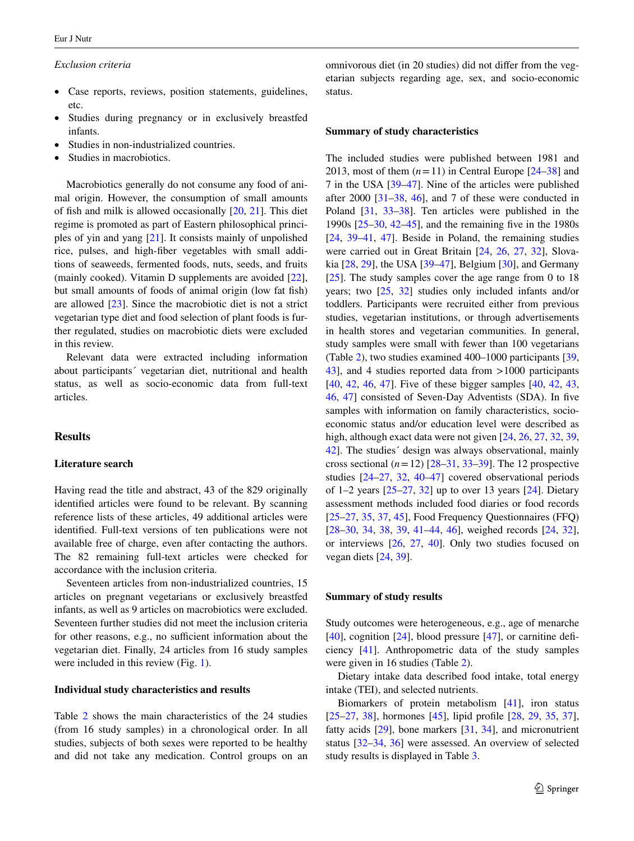#### *Exclusion criteria*

- Case reports, reviews, position statements, guidelines, etc.
- Studies during pregnancy or in exclusively breastfed infants.
- Studies in non-industrialized countries.
- Studies in macrobiotics.

Macrobiotics generally do not consume any food of animal origin. However, the consumption of small amounts of fish and milk is allowed occasionally [[20,](#page-19-17) [21\]](#page-19-18). This diet regime is promoted as part of Eastern philosophical principles of yin and yang [[21\]](#page-19-18). It consists mainly of unpolished rice, pulses, and high-fiber vegetables with small additions of seaweeds, fermented foods, nuts, seeds, and fruits (mainly cooked). Vitamin D supplements are avoided [\[22](#page-19-19)], but small amounts of foods of animal origin (low fat fish) are allowed [[23\]](#page-19-20). Since the macrobiotic diet is not a strict vegetarian type diet and food selection of plant foods is further regulated, studies on macrobiotic diets were excluded in this review.

Relevant data were extracted including information about participants´ vegetarian diet, nutritional and health status, as well as socio-economic data from full-text articles.

### **Results**

# **Literature search**

Having read the title and abstract, 43 of the 829 originally identified articles were found to be relevant. By scanning reference lists of these articles, 49 additional articles were identified. Full-text versions of ten publications were not available free of charge, even after contacting the authors. The 82 remaining full-text articles were checked for accordance with the inclusion criteria.

Seventeen articles from non-industrialized countries, 15 articles on pregnant vegetarians or exclusively breastfed infants, as well as 9 articles on macrobiotics were excluded. Seventeen further studies did not meet the inclusion criteria for other reasons, e.g., no sufficient information about the vegetarian diet. Finally, 24 articles from 16 study samples were included in this review (Fig. [1\)](#page-3-0).

# **Individual study characteristics and results**

Table [2](#page-4-0) shows the main characteristics of the 24 studies (from 16 study samples) in a chronological order. In all studies, subjects of both sexes were reported to be healthy and did not take any medication. Control groups on an omnivorous diet (in 20 studies) did not differ from the vegetarian subjects regarding age, sex, and socio-economic status.

#### **Summary of study characteristics**

The included studies were published between 1981 and 2013, most of them  $(n=11)$  in Central Europe  $[24-38]$  $[24-38]$  and 7 in the USA [\[39](#page-20-1)[–47](#page-20-2)]. Nine of the articles were published after  $2000$   $\left[31 - 38, 46\right]$  $\left[31 - 38, 46\right]$  $\left[31 - 38, 46\right]$  $\left[31 - 38, 46\right]$  $\left[31 - 38, 46\right]$ , and 7 of these were conducted in Poland [\[31](#page-20-3), [33–](#page-20-5)[38\]](#page-20-0). Ten articles were published in the 1990s [\[25](#page-19-22)[–30](#page-20-6), [42–](#page-20-7)[45\]](#page-20-8), and the remaining five in the 1980s [\[24](#page-19-21), [39](#page-20-1)[–41](#page-20-9), [47\]](#page-20-2). Beside in Poland, the remaining studies were carried out in Great Britain [\[24](#page-19-21), [26](#page-19-23), [27,](#page-19-24) [32\]](#page-20-10), Slovakia [\[28](#page-20-11), [29](#page-20-12)], the USA [\[39](#page-20-1)[–47](#page-20-2)], Belgium [[30\]](#page-20-6), and Germany [\[25](#page-19-22)]. The study samples cover the age range from 0 to 18 years; two [\[25](#page-19-22), [32\]](#page-20-10) studies only included infants and/or toddlers. Participants were recruited either from previous studies, vegetarian institutions, or through advertisements in health stores and vegetarian communities. In general, study samples were small with fewer than 100 vegetarians (Table [2](#page-4-0)), two studies examined 400–1000 participants [[39,](#page-20-1) [43](#page-20-13)], and 4 studies reported data from >1000 participants [\[40](#page-20-14), [42](#page-20-7), [46](#page-20-4), [47\]](#page-20-2). Five of these bigger samples [40, [42,](#page-20-7) [43,](#page-20-13) [46](#page-20-4), [47](#page-20-2)] consisted of Seven-Day Adventists (SDA). In five samples with information on family characteristics, socioeconomic status and/or education level were described as high, although exact data were not given [\[24](#page-19-21), [26](#page-19-23), [27](#page-19-24), [32,](#page-20-10) [39,](#page-20-1) [42](#page-20-7)]. The studies´ design was always observational, mainly cross sectional  $(n=12)$   $[28-31, 33-39]$  $[28-31, 33-39]$  $[28-31, 33-39]$  $[28-31, 33-39]$ . The 12 prospective studies [\[24](#page-19-21)[–27](#page-19-24), [32,](#page-20-10) [40](#page-20-14)[–47](#page-20-2)] covered observational periods of  $1-2$  years  $[25-27, 32]$  $[25-27, 32]$  $[25-27, 32]$  up to over 13 years  $[24]$  $[24]$ . Dietary assessment methods included food diaries or food records [\[25](#page-19-22)[–27](#page-19-24), [35,](#page-20-15) [37,](#page-20-16) [45](#page-20-8)], Food Frequency Questionnaires (FFQ) [\[28](#page-20-11)[–30](#page-20-6), [34](#page-20-17), [38,](#page-20-0) [39,](#page-20-1) [41–](#page-20-9)[44,](#page-20-18) [46\]](#page-20-4), weighed records [\[24](#page-19-21), [32](#page-20-10)], or interviews [\[26](#page-19-23), [27](#page-19-24), [40\]](#page-20-14). Only two studies focused on vegan diets [[24,](#page-19-21) [39\]](#page-20-1).

#### **Summary of study results**

Study outcomes were heterogeneous, e.g., age of menarche [\[40](#page-20-14)], cognition [[24\]](#page-19-21), blood pressure [\[47](#page-20-2)], or carnitine deficiency [[41\]](#page-20-9). Anthropometric data of the study samples were given in 16 studies (Table [2\)](#page-4-0).

Dietary intake data described food intake, total energy intake (TEI), and selected nutrients.

Biomarkers of protein metabolism [[41\]](#page-20-9), iron status [\[25](#page-19-22)[–27](#page-19-24), [38](#page-20-0)], hormones [\[45](#page-20-8)], lipid profile [\[28](#page-20-11), [29](#page-20-12), [35](#page-20-15), [37](#page-20-16)], fatty acids [\[29](#page-20-12)], bone markers [\[31](#page-20-3), [34](#page-20-17)], and micronutrient status [[32–](#page-20-10)[34,](#page-20-17) [36](#page-20-19)] were assessed. An overview of selected study results is displayed in Table [3](#page-15-0).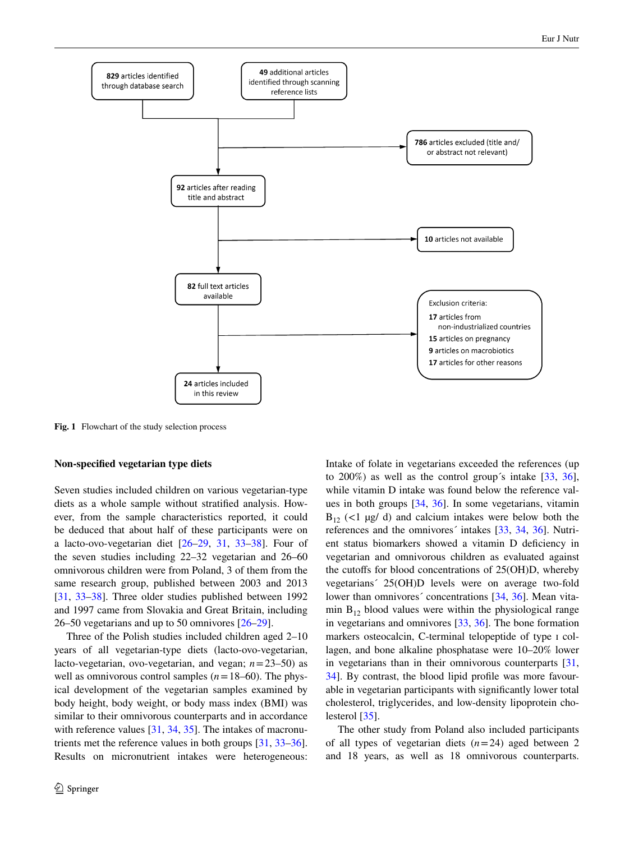

<span id="page-3-0"></span>**Fig. 1** Flowchart of the study selection process

#### **Non‑specified vegetarian type diets**

Seven studies included children on various vegetarian-type diets as a whole sample without stratified analysis. However, from the sample characteristics reported, it could be deduced that about half of these participants were on a lacto-ovo-vegetarian diet [[26–](#page-19-23)[29,](#page-20-12) [31](#page-20-3), [33](#page-20-5)[–38](#page-20-0)]. Four of the seven studies including 22–32 vegetarian and 26–60 omnivorous children were from Poland, 3 of them from the same research group, published between 2003 and 2013 [\[31](#page-20-3), [33–](#page-20-5)[38\]](#page-20-0). Three older studies published between 1992 and 1997 came from Slovakia and Great Britain, including 26–50 vegetarians and up to 50 omnivores [\[26](#page-19-23)[–29](#page-20-12)].

Three of the Polish studies included children aged 2–10 years of all vegetarian-type diets (lacto-ovo-vegetarian, lacto-vegetarian, ovo-vegetarian, and vegan; *n*=23–50) as well as omnivorous control samples  $(n=18-60)$ . The physical development of the vegetarian samples examined by body height, body weight, or body mass index (BMI) was similar to their omnivorous counterparts and in accordance with reference values [\[31](#page-20-3), [34](#page-20-17), [35](#page-20-15)]. The intakes of macronutrients met the reference values in both groups [\[31](#page-20-3), [33](#page-20-5)[–36](#page-20-19)]. Results on micronutrient intakes were heterogeneous:

Intake of folate in vegetarians exceeded the references (up to 200%) as well as the control group's intake  $[33, 36]$  $[33, 36]$  $[33, 36]$  $[33, 36]$  $[33, 36]$ , while vitamin D intake was found below the reference values in both groups [\[34](#page-20-17), [36](#page-20-19)]. In some vegetarians, vitamin  $B_{12}$  (<1  $\mu$ g/ d) and calcium intakes were below both the references and the omnivores´ intakes [\[33](#page-20-5), [34](#page-20-17), [36](#page-20-19)]. Nutrient status biomarkers showed a vitamin D deficiency in vegetarian and omnivorous children as evaluated against the cutoffs for blood concentrations of 25(OH)D, whereby vegetarians´ 25(OH)D levels were on average two-fold lower than omnivores' concentrations [\[34](#page-20-17), [36\]](#page-20-19). Mean vitamin  $B_{12}$  blood values were within the physiological range in vegetarians and omnivores [\[33](#page-20-5), [36\]](#page-20-19). The bone formation markers osteocalcin, C-terminal telopeptide of type I collagen, and bone alkaline phosphatase were 10–20% lower in vegetarians than in their omnivorous counterparts [[31,](#page-20-3) [34](#page-20-17)]. By contrast, the blood lipid profile was more favourable in vegetarian participants with significantly lower total cholesterol, triglycerides, and low-density lipoprotein cholesterol [\[35](#page-20-15)].

The other study from Poland also included participants of all types of vegetarian diets (*n*=24) aged between 2 and 18 years, as well as 18 omnivorous counterparts.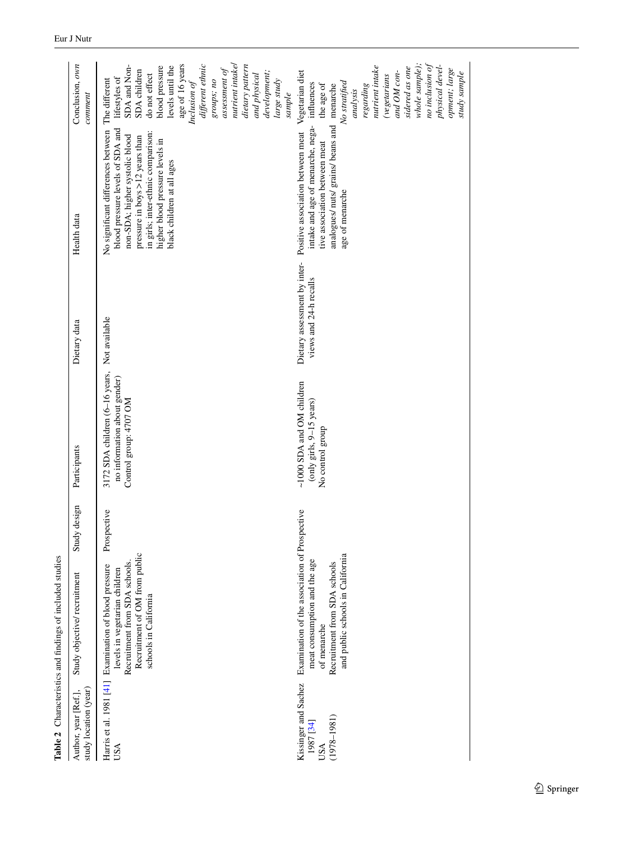<span id="page-4-0"></span>

|                                                             | Table 2 Characteristics and findings of included studies                                                                                                                          |              |                                                                                          |                                                        |                                                                                                                                                                                                                                                                    |                                                                                                                                                                                                                                                                                            |
|-------------------------------------------------------------|-----------------------------------------------------------------------------------------------------------------------------------------------------------------------------------|--------------|------------------------------------------------------------------------------------------|--------------------------------------------------------|--------------------------------------------------------------------------------------------------------------------------------------------------------------------------------------------------------------------------------------------------------------------|--------------------------------------------------------------------------------------------------------------------------------------------------------------------------------------------------------------------------------------------------------------------------------------------|
| study location (year)<br>Author, year [Ref.],               | Study objective/recruitment                                                                                                                                                       | Study design | Participants                                                                             | Dietary data                                           | Health data                                                                                                                                                                                                                                                        | Conclusion, own<br>comment                                                                                                                                                                                                                                                                 |
| USA                                                         | Recruitment of OM from public<br>Recruitment from SDA schools.<br>Harris et al. 1981 [41] Examination of blood pressure<br>levels in vegetarian children<br>schools in California | Prospective  | 3172 SDA children (6-16 years,<br>no information about gender)<br>Control group: 4707 OM | Not available                                          | No significant differences between The different<br>blood pressure levels of SDA and<br>in girls; inter-ethnic comparison:<br>non-SDA; higher systolic blood<br>pressure in boys $>12$ years than<br>higher blood pressure levels in<br>black children at all ages | nutrient intakel<br>age of 16 years<br>different ethnic<br>SDA and Non-<br>dietary pattern<br>blood pressure<br>levels until the<br>assessment of<br>SDA children<br>development;<br>do not effect<br>and physical<br>lifestyles of<br>large study<br>groups; no<br>Inclusion of<br>sample |
| Kissinger and Sachez<br>$(1978 - 1981)$<br>1987 [34]<br>USA | Examination of the association of Prospective<br>and public schools in California<br>meat consumption and the age<br>Recruitment from SDA schools<br>of menarche                  |              | ~1000 SDA and OM children<br>(only girls, 9-15 years)<br>No control group                | Dietary assessment by inter-<br>views and 24-h recalls | analogues/ nuts/ grains/ beans and<br>intake and age of menarche, nega-<br>Positive association between meat<br>tive association between meat<br>age of menarche                                                                                                   | whole sample);<br>no inclusion of<br>nutrient intake<br>physical devel-<br>sidered as one<br>opment; large<br>and OM con-<br>Vegetarian diet<br>study sample<br><i>(vegetarians</i><br>No stratified<br>influences<br>the age of<br>menarche<br>regarding<br>analysis                      |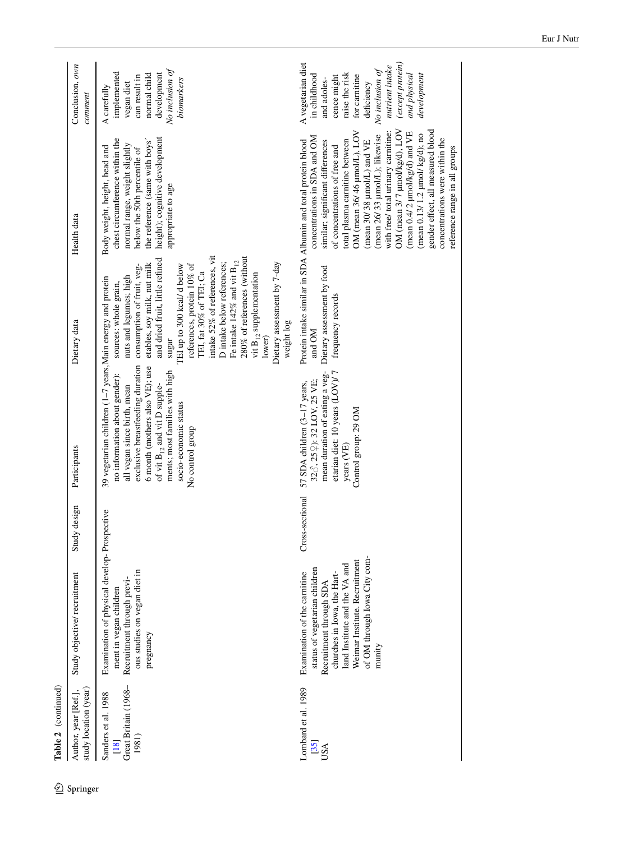| �        | Table 2 (continued)                                          |                                                                                                                                                                                                                                     |                 |                                                                                                                                                                                                                                                                                                                      |                                                                                                                                                                                                                                                                                                                                                                                                                                                                                |                                                                                                                                                                                                                                                                                                                                                                                                                                                                                                                                                                                | Conclusion, own |
|----------|--------------------------------------------------------------|-------------------------------------------------------------------------------------------------------------------------------------------------------------------------------------------------------------------------------------|-----------------|----------------------------------------------------------------------------------------------------------------------------------------------------------------------------------------------------------------------------------------------------------------------------------------------------------------------|--------------------------------------------------------------------------------------------------------------------------------------------------------------------------------------------------------------------------------------------------------------------------------------------------------------------------------------------------------------------------------------------------------------------------------------------------------------------------------|--------------------------------------------------------------------------------------------------------------------------------------------------------------------------------------------------------------------------------------------------------------------------------------------------------------------------------------------------------------------------------------------------------------------------------------------------------------------------------------------------------------------------------------------------------------------------------|-----------------|
| Springer | study location (year)<br>Author, year [Ref.],                | Study objective/recruitment                                                                                                                                                                                                         | design<br>Study | Participants                                                                                                                                                                                                                                                                                                         | Dietary data                                                                                                                                                                                                                                                                                                                                                                                                                                                                   | Health data                                                                                                                                                                                                                                                                                                                                                                                                                                                                                                                                                                    |                 |
|          | Great Britain (1968-<br>Sanders et al. 1988<br>1981)<br>[18] | Examination of physical develop-Prospective<br>ous studies on vegan diet in<br>Recruitment through previ-<br>ment in vegan children<br>pregnancy                                                                                    |                 | 39 vegetarian children (1-7 years, Main energy and protein<br>exclusive breastfeeding duration<br>6 month (mothers also VE); use<br>ments; most families with high<br>no information about gender):<br>of vit $B_{12}$ and vit D supple-<br>all vegan since birth, mean<br>socio-economic status<br>No control group | intake 52% of references, vit<br>280% of references (without<br>and dried fruit, little refined<br>Fe intake 142% and vit $B_{12}$<br>D intake below references;<br>Dietary assessment by 7-day<br>etables, soy milk, nut milk<br>references, protein 10% of<br>consumption of fruit, veg-<br>TEI up to 300 kcal/d below<br>TEI, fat 30% of TEI; Ca<br>vit B <sub>12</sub> supplementation<br>nuts and legumes; high<br>sources: whole grain,<br>weight log<br>lower)<br>sugar | height); cognitive development<br>chest circumference within the<br>the reference (same with boys'<br>normal range, weight slightly<br>Body weight, height, head and<br>below the 50th percentile of<br>appropriate to age                                                                                                                                                                                                                                                                                                                                                     |                 |
|          | Lombard et al. 1989<br>[35]<br>USA                           | of OM through Iowa City com-<br>Weimar Institute. Recruitment<br>land Institute and the VA and<br>status of vegetarian children<br>Examination of the carnitine<br>churches in Iowa, the Hart-<br>Recruitment through SDA<br>munity | Cross-sectional | mean duration of eating a veg-<br>etarian diet: 10 years (LOV)/7<br>328, 259): 32 LOV, 25 VE;<br>57 SDA children (3-17 years,<br>Control group: 29 OM<br>years (VE)                                                                                                                                                  | Dietary assessment by food<br>frequency records<br>and OM                                                                                                                                                                                                                                                                                                                                                                                                                      | OM (mean 3/7 µmol/kg/d), LOV<br>gender effect, all measured blood<br>OM (mean 36/46 µmol/L), LOV<br>with free/ total urinary carnitine:<br>(mean $0.4/2$ µmol/kg/d) and VE<br>$(\text{mean } 0.13/1.2 \text{ µmol/kg/d}); \text{no}$<br>(mean 26/33 µmol/L); likewise<br>concentrations in SDA and OM<br>Protein intake similar in SDA Albumin and total protein blood<br>concentrations were within the<br>total plasma carnitine between<br>(mean 30/38 µmol/L) and VE<br>similar; significant differences<br>of concentrations of free and<br>reference range in all groups |                 |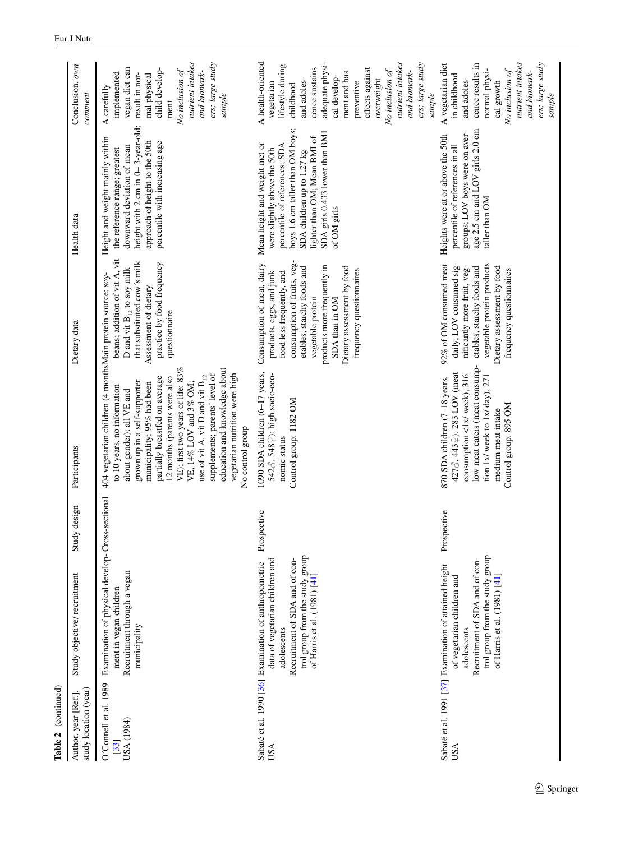| Table 2 (continued)                           |                                                                                                                                                                                                              |              |                                                                                                                                                                                                                                                                                                                                                                                                                                                                                        |                                                                                                                                                                                                                                                                                  |                                                                                                                                                                                                                                                   |                                                                                                                                                                                                                                                                                          |
|-----------------------------------------------|--------------------------------------------------------------------------------------------------------------------------------------------------------------------------------------------------------------|--------------|----------------------------------------------------------------------------------------------------------------------------------------------------------------------------------------------------------------------------------------------------------------------------------------------------------------------------------------------------------------------------------------------------------------------------------------------------------------------------------------|----------------------------------------------------------------------------------------------------------------------------------------------------------------------------------------------------------------------------------------------------------------------------------|---------------------------------------------------------------------------------------------------------------------------------------------------------------------------------------------------------------------------------------------------|------------------------------------------------------------------------------------------------------------------------------------------------------------------------------------------------------------------------------------------------------------------------------------------|
| study location (year)<br>Author, year [Ref.], | Study objective/recruitment                                                                                                                                                                                  | Study design | Participants                                                                                                                                                                                                                                                                                                                                                                                                                                                                           | Dietary data                                                                                                                                                                                                                                                                     | Health data                                                                                                                                                                                                                                       | Conclusion, own<br>comment                                                                                                                                                                                                                                                               |
| O'Connell et al. 1989<br>USA (1984)<br>[33]   | Examination of physical develop-Cross-sectional<br>Recruitment through a vegan<br>ment in vegan children<br>municipality                                                                                     |              | 404 vegetarian children (4 monthsMain protein source: soy-<br>education and knowledge about<br>VE); first two years of life: 83%<br>vegetarian nutrition were high<br>supplements; parents' level of<br>use of vit A, vit D and vit $B_{12}$<br>12 months (parents were also<br>partially breastfed on average<br>grown up in a self-supporter<br>VE, 14% LOV and 3% OM;<br>municipality; 95% had been<br>to 10 years, no information<br>about gender): all VE and<br>No control group | beans; addition of vit A, vit<br>that substituted cow's milk<br>practice by food frequency<br>D and vit $\mathbf{B}_{12}$ to soy milk<br>Assessment of dietary<br>questionnaire                                                                                                  | height with 2 cm in 0-3-year-old; result in nor-<br>Height and weight mainly within<br>approach of height to the 50th<br>percentile with increasing age<br>downward deviation of mean<br>the reference range; greatest                            | nutrient intakes<br>ers; large study<br>vegan diet can<br>child develop-<br>No inclusion of<br>and biomark-<br>implemented<br>mal physical<br>A carefully<br>sample<br>ment                                                                                                              |
| <b>USA</b>                                    | trol group from the study group<br>Recruitment of SDA and of con-<br>data of vegetarian children and<br>Sabaté et al. 1990 [36] Examination of anthropometric<br>of Harris et al. (1981) [41]<br>adolescents | Prospective  | 1090 SDA children (6-17 years,<br>542♂, 548 ?); high socio-eco-<br>Control group: 1182 OM<br>nomic status                                                                                                                                                                                                                                                                                                                                                                              | consumption of fruits, veg-<br>Consumption of meat, dairy<br>products more frequently in<br>Dietary assessment by food<br>etables, starchy foods and<br>frequency questionnaires<br>food less frequently, and<br>products, eggs, and junk<br>vegetable protein<br>SDA than in OM | boys 1.6 cm taller than OM boys;<br>SDA girls 0.433 lower than BMI<br>lighter than OM; Mean BMI of<br>Mean height and weight met or<br>percentile of references; SDA<br>were slightly above the 50th<br>SDA children up to 1.27 kg<br>of OM girls | A health-oriented<br>nutrient intakes<br>adequate physi-<br>ers; large study<br>lifestyle during<br>cence sustains<br>effects against<br>No inclusion of<br>and biomark-<br>ment and has<br>cal develop-<br>overweight<br>and adoles-<br>vegetarian<br>preventive<br>childhood<br>sample |
| <b>USA</b>                                    | trol group from the study group<br>Recruitment of SDA and of con-<br>Sabaté et al. 1991 [37] Examination of attained height<br>of Harris et al. (1981) [41]<br>of vegetarian children and<br>adolescents     | Prospective  | low meat eaters (meat consump-<br>4278, 443 \pix 283 LOV (meat<br>consumption <1x/ week), 316<br>tion 1x/ week to 1x/ $day$ ), 271<br>870 SDA children (7-18 years,<br>Control group: 895 OM<br>medium meat intake                                                                                                                                                                                                                                                                     | 92% of OM consumed meat<br>daily; LOV consumed sig-<br>vegetable protein products<br>etables, starchy foods and<br>Dietary assessment by food<br>nificantly more fruit, veg-<br>frequency questionnaires                                                                         | age 2.5 cm and LOV girls 2.0 cm<br>groups; LOV boys were on aver-<br>Heights were at or above the 50th<br>percentile of references in all<br>taller than OM                                                                                       | nutrient intakes<br>ers; large study<br>cence results in<br>A vegetarian diet<br>normal physi-<br>No inclusion of<br>and biomark-<br>in childhood<br>and adoles-<br>cal growth<br>sample                                                                                                 |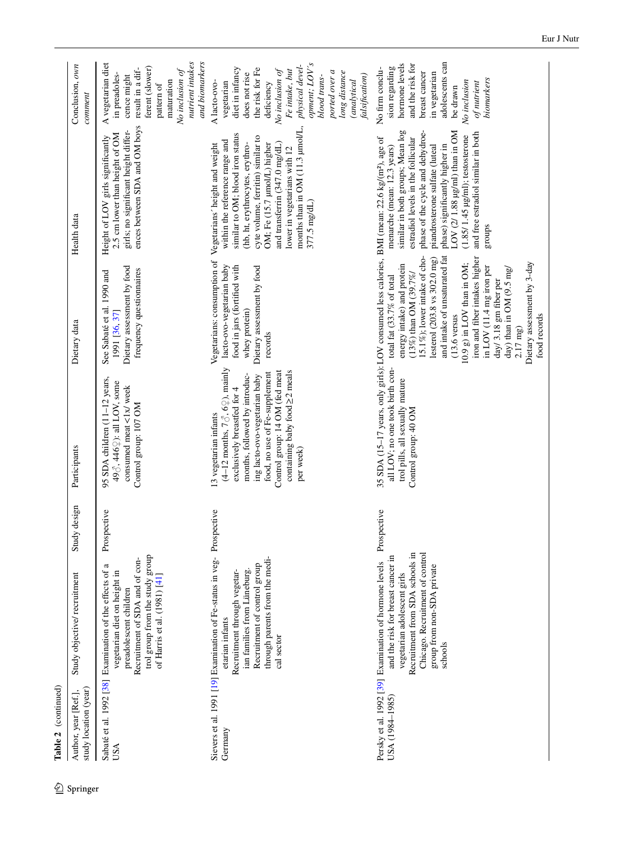$\underline{\mathcal{D}}$  Springer

| Table 2 (continued)                           |                                                                                                                                                                                                                                          |                 |                                                                                                                                                                                                                                                                                                |                                                                                                                                                                                                                                                                                                                                                                                                                                             |                                                                                                                                                                                                                                                                                                                                                      |                                                                                                                                                                                                                                                             |
|-----------------------------------------------|------------------------------------------------------------------------------------------------------------------------------------------------------------------------------------------------------------------------------------------|-----------------|------------------------------------------------------------------------------------------------------------------------------------------------------------------------------------------------------------------------------------------------------------------------------------------------|---------------------------------------------------------------------------------------------------------------------------------------------------------------------------------------------------------------------------------------------------------------------------------------------------------------------------------------------------------------------------------------------------------------------------------------------|------------------------------------------------------------------------------------------------------------------------------------------------------------------------------------------------------------------------------------------------------------------------------------------------------------------------------------------------------|-------------------------------------------------------------------------------------------------------------------------------------------------------------------------------------------------------------------------------------------------------------|
| study location (year)<br>Author, year [Ref.], | Study objective/recruitment                                                                                                                                                                                                              | design<br>Study | Participants                                                                                                                                                                                                                                                                                   | Dietary data                                                                                                                                                                                                                                                                                                                                                                                                                                | Health data                                                                                                                                                                                                                                                                                                                                          | Conclusion, own<br>comment                                                                                                                                                                                                                                  |
| USA                                           | trol group from the study group<br>Recruitment of SDA and of con-<br>Sabaté et al. 1992 [38] Examination of the effects of a<br>vegetarian diet on height in<br>of Harris et al. (1981) [41]<br>preadolescent children                   | Prospective     | 95 SDA children (11-12 years,<br>498, 4462): all LOV, some<br>consumed meat <1x/ week<br>Control group: 107 OM                                                                                                                                                                                 | Dietary assessment by food<br>frequency questionnaires<br>See Sabaté et al. 1990 and<br>1991 [36, 37]                                                                                                                                                                                                                                                                                                                                       | ences between SDA and OM boys<br>girls; no significant height differ-<br>2.5 cm lower than height of OM<br>Height of LOV girls significantly                                                                                                                                                                                                         | nutrient intakes<br>and biomarkers<br>A vegetarian diet<br>ferent (slower)<br>result in a dif-<br>No inclusion of<br>in preadoles-<br>cence might<br>maturation<br>pattern of                                                                               |
| Germany                                       | Sievers et al. 1991 [19] Examination of Fe-status in veg- Prospective<br>through parents from the medi-<br>Recruitment of control group<br>ian families from Lüneburg<br>Recruitment through vegetar-<br>etarian infants<br>cal sector   |                 | (4-12 months, $7\delta$ , $6\Omega$ ), mainly<br>Control group: 14 OM (fed meat<br>containing baby food $\geq$ 2 meals<br>food, no use of Fe-supplement<br>months, followed by introduc-<br>ing lacto-ovo-vegetarian baby<br>exclusively breastfed for 4<br>13 vegetarian infants<br>per week) | Vegetarians: consumption of<br>food in jars (fortified with<br>lacto-ovo-vegetarian baby<br>Dietary assessment by food<br>whey protein)<br>records                                                                                                                                                                                                                                                                                          | months than in OM (11.3 µmol/L,<br>similar to OM; blood iron status<br>cyte volume, ferritin) similar to<br>within the reference range and<br>(hb, ht, erythrocytes, erythro-<br>and transferrin (347.0 mg/dL)<br>OM; Fe (15.7 µmol/L) higher<br>Vegetarians' height and weight<br>lower in vegetarians with 12<br>377.5 mg/dL)                      | opment; LOV's<br>physical devel-<br>diet in infancy<br>the risk for Fe<br>No inclusion of<br>Fe intake, but<br>ported over a<br>long distance<br>does not rise<br>blood trans-<br>falsification)<br>(analytical<br>deficiency<br>vegetarian<br>A lacto-ovo- |
| USA (1984–1985)                               | Recruitment from SDA schools in<br>Chicago. Recruitment of control<br>and the risk for breast cancer in<br>Persky et al. 1992 [39] Examination of hormone levels<br>group from non-SDA private<br>vegetarian adolescent girls<br>schools | Prospective     | 35 SDA (15-17 years, only girls): LOV consumed less calories, BMI (mean: 22.6 kg/(m <sup>2</sup> ), age of<br>all LOV; no one took birth con-<br>trol pills, all sexually mature<br>Control group: 40 OM                                                                                       | 15.1%); lower intake of cho-<br>and intake of unsaturated fat<br>iron and fiber intakes higher<br>lesterol (203.8 vs 302.0 mg)<br>Dietary assessment by 3-day<br>$10.9 \text{ g}$ ) in LOV than in OM;<br>energy intake) and protein<br>in LOV (11.4 mg iron per<br>day) than in OM $(9.5 \text{ mg})$<br>$(13\%)$ than OM $(39.7\%)$<br>total fat (33.7% of total<br>day/3.18 gm fiber per<br>$(13.6$ versus<br>food records<br>$2.17$ mg) | similar in both groups; Mean log<br>LOV $(2/1.88 \mu g/ml)$ than in OM<br>phase of the cycle and dehydroe-<br>and free estradiol similar in both<br>$(1.85/1.45 \,\mu\text{g/ml})$ ; testosterone<br>estradiol levels in the follicular<br>piandrosterone sulfate (luteal<br>phase) significantly higher in<br>menarche (mean: 12.3 years)<br>groups | adolescents can<br>hormone levels<br>and the risk for<br>No firm conclu-<br>sion regarding<br>breast cancer<br>in vegetarian<br>biomarkers<br>No inclusion<br>of nutrient<br>be drawn                                                                       |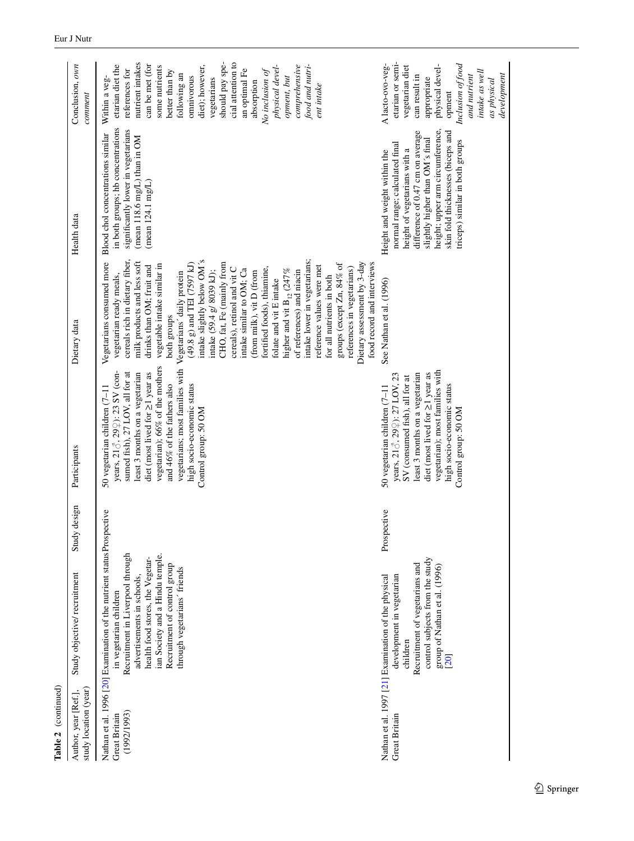| Conclusion, own<br>comment                    | nutrient intakes<br>should pay spe-<br>cial attention to<br>can be met (for<br>etarian diet the<br>diet); however,<br>food and nutri-<br>physical devel-<br>comprehensive<br>some nutrients<br>references for<br>better than by<br>an optimal Fe<br>No inclusion of<br>following an<br>omnivorous<br>opment, but<br>vegetarians<br>Within a veg-<br>absorption<br>ent intake                                                                                                                                                                                                                                                                                                                                                                                                                    | etarian or semi-<br>Inclusion of food<br>A lacto-ovo-veg-<br>physical devel-<br>vegetarian diet<br>intake as well<br>development<br>can result in<br>and nutrient<br>appropriate<br>as physical<br>opment                                                                         |
|-----------------------------------------------|-------------------------------------------------------------------------------------------------------------------------------------------------------------------------------------------------------------------------------------------------------------------------------------------------------------------------------------------------------------------------------------------------------------------------------------------------------------------------------------------------------------------------------------------------------------------------------------------------------------------------------------------------------------------------------------------------------------------------------------------------------------------------------------------------|-----------------------------------------------------------------------------------------------------------------------------------------------------------------------------------------------------------------------------------------------------------------------------------|
| Health data                                   | in both groups; hb concentrations<br>significantly lower in vegetarians<br>Blood chol concentrations similar<br>$(\text{mean } 118.6 \text{ mg/L})$ than in OM<br>(mean 124.1 mg/L)                                                                                                                                                                                                                                                                                                                                                                                                                                                                                                                                                                                                             | height; upper arm circumference,<br>difference of 0.47 cm on average<br>skin fold thicknesses (biceps and<br>slightly higher than OM's final<br>triceps) similar in both groups<br>normal range; calculated final<br>height of vegetarians with a<br>Height and weight within the |
| Dietary data                                  | cereals rich in dietary fiber,<br>intake slightly below OM's<br>intake lower in vegetarians;<br>Vegetarians consumed more<br>milk products and less soft<br>Dietary assessment by 3-day<br>food record and interviews<br>$(49.8 \text{ g})$ and TEI (7597 kJ)<br>CHO, fat, Fe (mainly from<br>groups (except Zn, 84% of<br>vegetable intake similar in<br>reference values were met<br>drinks than OM; fruit and<br>cereals), retinol and vit C<br>fortified foods), thiamine,<br>references in vegetarians)<br>intake similar to OM; Ca<br>higher and vit $B_{12}$ (247%<br>of references) and niacin<br>intake (59.4 g/ 8039 kJ);<br>(from milk), vit D (from<br>Vegetarians' daily protein<br>for all nutrients in both<br>vegetarian ready meals,<br>folate and vit E intake<br>both groups | See Nathan et al. (1996)                                                                                                                                                                                                                                                          |
| Participants                                  | vegetarian); 66% of the mothers<br>vegetarians; most families with<br>diet (most lived for $\geq$ 1 year as<br>years, 218, 29\; 23 SV (con-<br>sumed fish), 27 LOV, all for at<br>least 3 months on a vegetarian<br>and 46% of the fathers also<br>high socio-economic status<br>50 vegetarian children (7-11<br>Control group: 50 OM                                                                                                                                                                                                                                                                                                                                                                                                                                                           | vegetarian); most families with<br>diet (most lived for $\geq$ 1 year as<br>least 3 months on a vegetarian<br>years, 218, 299; 27 LOV, 23<br>SV (consumed fish), all for at<br>high socio-economic status<br>50 vegetarian children (7-11<br>Control group: 50 OM                 |
| Study design                                  |                                                                                                                                                                                                                                                                                                                                                                                                                                                                                                                                                                                                                                                                                                                                                                                                 | Prospective                                                                                                                                                                                                                                                                       |
| Study objective/recruitment                   | Nathan et al. 1996 [20] Examination of the nutrient status Prospective<br>Recruitment in Liverpool through<br>ian Society and a Hindu temple.<br>health food stores, the Vegetar-<br>Recruitment of control group<br>through vegetarians' friends<br>advertisements in schools,<br>in vegetarian children                                                                                                                                                                                                                                                                                                                                                                                                                                                                                       | control subjects from the study<br>Recruitment of vegetarians and<br>group of Nathan et al. (1996)<br>development in vegetarian<br>Nathan et al. 1997 [21] Examination of the physical<br>children<br>[20]                                                                        |
| study location (year)<br>Author, year [Ref.], | (1992/1993)<br>Great Britain                                                                                                                                                                                                                                                                                                                                                                                                                                                                                                                                                                                                                                                                                                                                                                    | Great Britain                                                                                                                                                                                                                                                                     |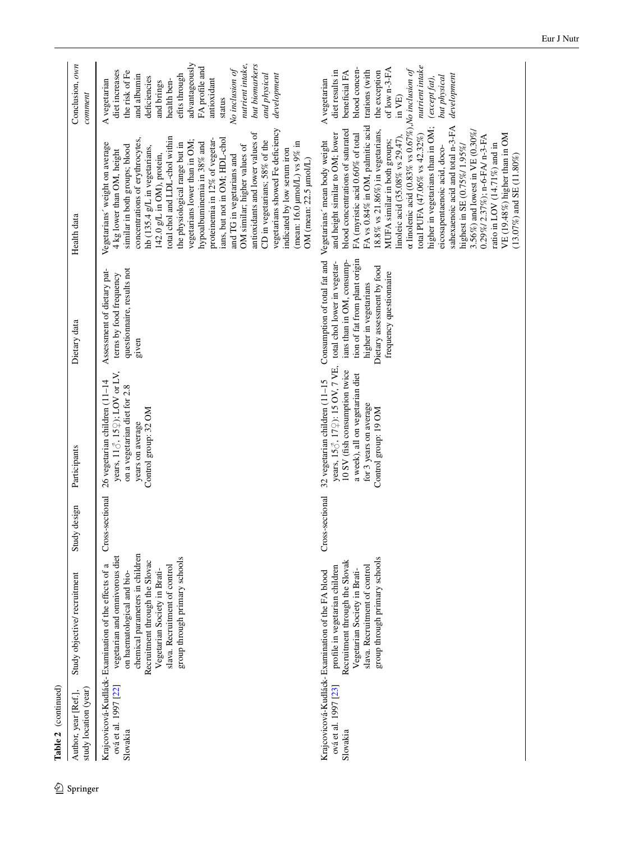|            | Table 2 (continued)                           |                                                                                                                                                                                                                                                                                             |                 |                                                                                                                                                                                       |                                                                                                                                                                                                              |                                                                                                                                                                                                                                                                                                                                                                                                                                                                                                                                                                                                                                                                                                |                                                                                                                                                                                                                                                                                    |
|------------|-----------------------------------------------|---------------------------------------------------------------------------------------------------------------------------------------------------------------------------------------------------------------------------------------------------------------------------------------------|-----------------|---------------------------------------------------------------------------------------------------------------------------------------------------------------------------------------|--------------------------------------------------------------------------------------------------------------------------------------------------------------------------------------------------------------|------------------------------------------------------------------------------------------------------------------------------------------------------------------------------------------------------------------------------------------------------------------------------------------------------------------------------------------------------------------------------------------------------------------------------------------------------------------------------------------------------------------------------------------------------------------------------------------------------------------------------------------------------------------------------------------------|------------------------------------------------------------------------------------------------------------------------------------------------------------------------------------------------------------------------------------------------------------------------------------|
| 2 Springer | study location (year)<br>Author, year [Ref.], | Study objective/recruitment                                                                                                                                                                                                                                                                 | design<br>Study | Participants                                                                                                                                                                          | Dietary data                                                                                                                                                                                                 | Health data                                                                                                                                                                                                                                                                                                                                                                                                                                                                                                                                                                                                                                                                                    | Conclusion, own<br>comment                                                                                                                                                                                                                                                         |
|            | ová et al. 1997 [22]<br>Slovakia              | chemical parameters in children<br>vegetarian and omnivorous diet<br>group through primary schools<br>Recruitment through the Slovac<br>Krajcovicová-Kudláck-Examination of the effects of a<br>slava. Recruitment of control<br>Vegetarian Society in Brati-<br>on haematological and bio- | Cross-sectional | years, $11\delta$ , $15\Omega$ ; LOV or LV,<br>26 vegetarian children (11-14<br>on a vegetarian diet for 2.8<br>Control group: 32 OM<br>years on average                              | questionnaire, results not<br>Assessment of dietary pat-<br>terns by food frequency<br>given                                                                                                                 | vegetarians showed Fe deficiency<br>antioxidants and lower values of<br>total chol and LDL-chol within<br>ians, but not in OM; HDL-chol<br>concentrations of erythrocytes,<br>CD in vegetarians; 58% of the<br>proteinemia in 12% of vegetar-<br>vegetarians lower than in OM;<br>the physiological range but in<br>(mean: 16.0 $\mu$ mol/L) vs 9% in<br>hypoalbuminemia in 38% and<br>Vegetarians' weight on average<br>OM similar; higher values of<br>similar in both groups; blood<br>hb (135.4 g/L in vegetarians,<br>indicated by low serum iron<br>4 kg lower than OM, height<br>142.0 g/L in OM), protein,<br>and TG in vegetarians and<br>OM (mean: 22.5 µmol/L)                      | advantageously<br>nutrient intake,<br>but biomarkers<br>FA profile and<br>diet increases<br>No inclusion of<br>the risk of Fe<br>and physical<br>efits through<br>development<br>and albumin<br>deficiencies<br>antioxidant<br>A vegetarian<br>health ben-<br>and brings<br>status |
|            | ová et al. 1997 [23]<br>Slovakia              | group through primary schools<br>Recruitment through the Slovak<br>slava. Recruitment of control<br>profile in vegetarian children<br>Vegetarian Society in Brati-<br>Krajcovicová-Kudláck-Examination of the FA blood                                                                      | Cross-sectional | years, 158, 172): 15 OV, 7 VE,<br>10 SV (fish consumption twice<br>a week), all on vegetarian diet<br>32 vegetarian children (11-15<br>for 3 years on average<br>Control group: 19 OM | tion of fat from plant origin<br>ians than in OM, consump-<br>Consumption of total fat and<br>total chol lower in vegetar-<br>Dietary assessment by food<br>frequency questionnaire<br>higher in vegetarians | α linolenic acid (0.83% vs 0.67%), No inclusion of<br>FA vs 0.84% in OM, palmitic acid<br>sahexaenoic acid and total n-3-FA<br>higher in vegetarians than in OM;<br>blood concentrations of saturated<br>18.8% vs 21.86%) in vegetarians,<br>3.56%) and lowest in VE $(0.30\%)$<br>FA (myristic acid 0.60% of total<br>and height similar to OM; lower<br>total PUFA (47.06% vs 42.32%)<br>VE (19.48%) higher than in OM<br>linoleic acid (35.08% vs 29.47),<br>0.29%/2.37%); n-6-FA/ n-3-FA<br>MUFA similar in both groups;<br>Vegetarians' mean body weight<br>ratio in LOV (14.71%) and in<br>highest in SE (0.75%/1.95%/<br>eicosapentaenoic acid, doco-<br>$(13.07\%)$ and SE $(11.80\%)$ | nutrient intake<br>blood concen-<br>of low n-3-FA<br>trations (with<br>diet results in<br>beneficial FA<br>the exception<br>development<br>but physical<br>(except fat),<br>A vegetarian<br>in VE)                                                                                 |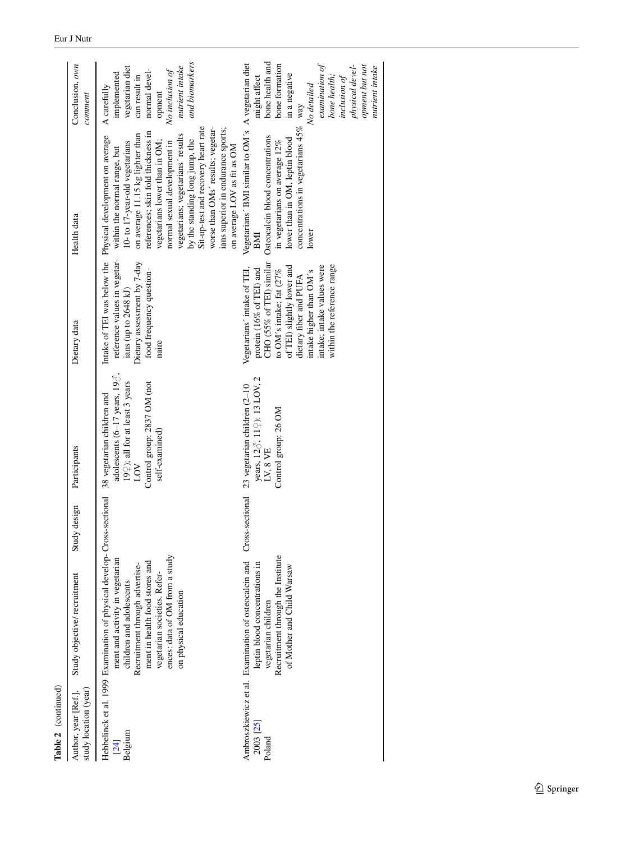| Author, year [Ref.],<br>study location (year) | Study objective/recruitment                                                                                                                                                                                                                                                                          | Study design | Participants                                                                                                                                                                 | Dietary data                                                                                                                                                                                                                                                   | Health data                                                                                                                                                                                                                                                                                                                                                                                                                                                                                      | Conclusion, own<br>comment                                                                                                                                                                           |
|-----------------------------------------------|------------------------------------------------------------------------------------------------------------------------------------------------------------------------------------------------------------------------------------------------------------------------------------------------------|--------------|------------------------------------------------------------------------------------------------------------------------------------------------------------------------------|----------------------------------------------------------------------------------------------------------------------------------------------------------------------------------------------------------------------------------------------------------------|--------------------------------------------------------------------------------------------------------------------------------------------------------------------------------------------------------------------------------------------------------------------------------------------------------------------------------------------------------------------------------------------------------------------------------------------------------------------------------------------------|------------------------------------------------------------------------------------------------------------------------------------------------------------------------------------------------------|
| Belgium<br>[24]                               | Hebbelinck et al. 1999 Examination of physical develop-Cross-sectional<br>ences: data of OM from a study<br>ment and activity in vegetarian<br>ment in health food stores and<br>Recruitment through advertise-<br>vegetarian societies. Refer-<br>children and adolescents<br>on physical education |              | adolescents (6-17 years, 19 $\delta$ ),<br>19 $\frac{2}{7}$ ; all for at least 3 years<br>Control group: 2837 OM (not<br>38 vegetarian children and<br>self-examined)<br>LOV | reference values in vegetar-<br>Dietary assessment by 7-day<br>food frequency question-<br>ians (up to 2648 kJ)<br>naire                                                                                                                                       | Sit-up-test and recovery heart rate<br>worse than OMs' results; vegetar-<br>ians superior in endurance sports;<br>references; skin fold thickness in<br>on average 11.15 kg lighter than<br>vegetarians; vegetarians' results<br>Intake of TEI was below the Physical development on average<br>by the standing long jump, the<br>vegetarians lower than in OM;<br>normal sexual development in<br>10- to 17-year-old vegetarians<br>on average LOV as fit as OM<br>within the normal range, but | and biomarkers<br>nutrient intake<br>vegetarian diet<br>normal devel-<br>No inclusion of<br>implemented<br>can result in<br>A carefully<br>opment                                                    |
| 2003 [25]<br>Poland                           | Recruitment through the Institute<br>Ambroszkiewicz et al. Examination of osteocalcin and<br>leptin blood concentrations in<br>of Mother and Child Warsaw<br>vegetarian children                                                                                                                     |              | years, 12♂, 11♀): 13 LOV, 2<br>Cross-sectional 23 vegetarian children (2-10<br>Control group: 26 OM<br>LV, $8$ VE                                                            | CHO (55% of TEI) similar<br>within the reference range<br>of TEI) slightly lower and<br>intake; intake values were<br>Vegetarians' intake of TEI,<br>protein (16% of TEI) and<br>to OM's intake; fat (27%<br>intake higher than OM's<br>dietary fiber and PUFA | Vegetarians' BMI similar to OM's A vegetarian diet<br>concentrations in vegetarians $45\%$ way<br>Osteocalcin blood concentrations<br>lower than in OM, leptin blood<br>in vegetarians on average 12%<br>lower<br>BМ                                                                                                                                                                                                                                                                             | bone health and<br>bone formation<br>$\alpha$ examination of<br>physical devel-<br>opment but not<br>nutrient intake<br>in a negative<br>bone health;<br>might affect<br>inclusion of<br>No detailed |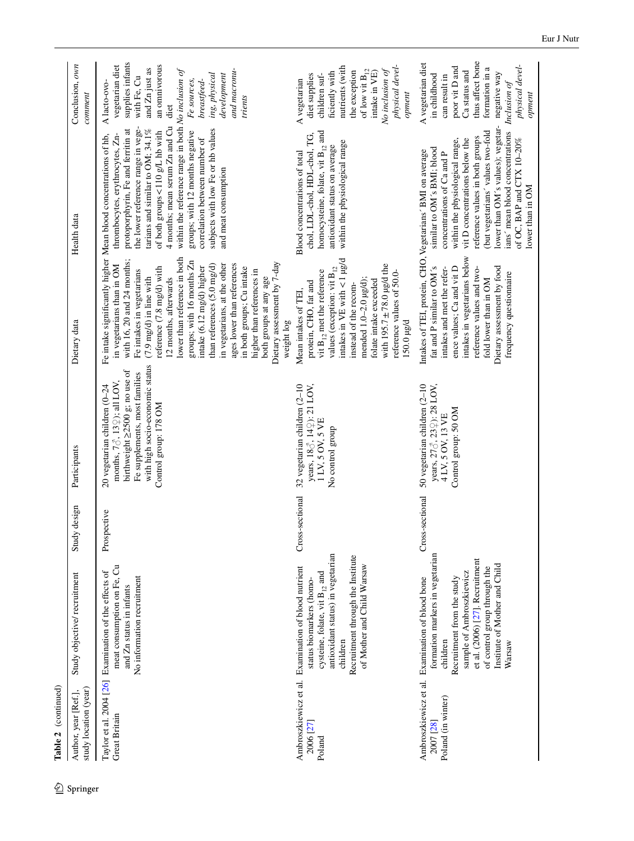| Table 2 (continued)                           |                                                                                                                                                                                                                                                                        |                 |                                                                                                                                                                                                              |                                                                                                                                                                                                                                                                                                                                                                                                                                                                                                               |                                                                                                                                                                                                                                                                                                                                                                                                                                                                                  |                                                                                                                                                                                                        |
|-----------------------------------------------|------------------------------------------------------------------------------------------------------------------------------------------------------------------------------------------------------------------------------------------------------------------------|-----------------|--------------------------------------------------------------------------------------------------------------------------------------------------------------------------------------------------------------|---------------------------------------------------------------------------------------------------------------------------------------------------------------------------------------------------------------------------------------------------------------------------------------------------------------------------------------------------------------------------------------------------------------------------------------------------------------------------------------------------------------|----------------------------------------------------------------------------------------------------------------------------------------------------------------------------------------------------------------------------------------------------------------------------------------------------------------------------------------------------------------------------------------------------------------------------------------------------------------------------------|--------------------------------------------------------------------------------------------------------------------------------------------------------------------------------------------------------|
| study location (year)<br>Author, year [Ref.], | Study objective/recruitment                                                                                                                                                                                                                                            | design<br>Study | Participants                                                                                                                                                                                                 | Dietary data                                                                                                                                                                                                                                                                                                                                                                                                                                                                                                  | Health data                                                                                                                                                                                                                                                                                                                                                                                                                                                                      | Conclusion, own<br>comment                                                                                                                                                                             |
| <b>Great Britain</b>                          | meat consumption on Fe, Cu<br>Taylor et al. 2004 [26] Examination of the effects of<br>No information recruitment<br>and Zn status in infants                                                                                                                          | Prospective     | with high socio-economic status<br>birthweight≥2500 g; no use of<br>Fe supplements, most families<br>months, $7\delta$ , $13\hat{+}$ ); all LOV,<br>20 vegetarian children $(0-24)$<br>Control group: 178 OM | lower than reference in both<br>with $16$ , $20$ and $24$ months;<br>groups; with 16 months Zn<br>Dietary assessment by 7-day<br>ages lower than references<br>in vegetarians, at the other<br>in vegetarians than in OM<br>than references (5.0 mg/d)<br>intake (6.12 mg/d) higher<br>in both groups; Cu intake<br>reference (7.8 mg/d) with<br>Fe intakes in vegetarians<br>higher than references in<br>$(7.9 \text{ mg/d})$ in line with<br>both groups at any age<br>12 months, afterwards<br>weight log | within the reference range in both $No$ inclusion of<br>4 months; mean serum Zn and Cu<br>the lower reference range in vege-<br>tarians and similar to OM; 34.1%<br>subjects with low Fe or hb values<br>protoporphyrin, Fe and ferritin at<br>of both groups <110 g/L hb with<br>groups; with 12 months negative<br>thrombocytes, erythrocytes, Zn-<br>Fe intake significantly higher Mean blood concentrations of hb,<br>correlation between number of<br>and meat consumption | supplies infants<br>an omnivorous<br>vegetarian diet<br>and Zn just as<br>and macronu-<br>ing, physical<br>development<br>with Fe, Cu<br>breastfeed-<br>Fe sources,<br>A lacto-ovo-<br>trients<br>diet |
| 2006 [27]<br>Poland                           | antioxidant status) in vegetarian<br>Recruitment through the Institute<br>of Mother and Child Warsaw<br>Ambroszkiewicz et al. Examination of blood nutrient<br>cysteine, folate, vit $B_{12}$ and<br>status biomarkers (homo-<br>children                              |                 | Cross-sectional 32 vegetarian children (2-10<br>years, 188, 142): 21 LOV,<br>1 LV, 5 OV, 5 VE<br>No control group                                                                                            | intakes in $VE$ with $< 1$ µg/d<br>with 195.7 $\pm$ 78.0 µg/d the<br>values (exception: vit $B_{12}$<br>vit $B_{12}$ met the reference<br>reference values of 50.0-<br>mended 1.0-2.0 µg/d);<br>folate intake exceeded<br>protein, CHO, fat and<br>instead of the recom-<br>Mean intakes of TEI,<br>150.0 µg/d                                                                                                                                                                                                | homocysteine, folate, vit $B_{12}$ and<br>chol, LDL-chol, HDL-chol, TG,<br>within the physiological range<br>antioxidant status on average<br>Blood concentrations of total                                                                                                                                                                                                                                                                                                      | nutrients (with<br>physical devel-<br>of low vit $\mathbf{B}_{12}$<br>No inclusion of<br>the exception<br>ficiently with<br>intake in VE)<br>diet supplies<br>children suf-<br>A vegetarian<br>opment  |
| Poland (in winter)<br>2007 [28]               | formation markers in vegetarian<br>et al. (2006) [27]. Recruitment<br>Institute of Mother and Child<br>of control group through the<br>sample of Ambroszkiewicz<br>Ambroszkiewicz et al. Examination of blood bone<br>Recruitment from the study<br>children<br>Warsaw | Cross-sectional | 50 vegetarian children (2-10<br>years, 278, 239): 28 LOV,<br>Control group: 50 OM<br>4 LV, 5 OV, 13 VE                                                                                                       | intakes in vegetarians below<br>fat and P similar to OM's<br>ence values; Ca and vit D<br>Dietary assessment by food<br>reference values and two-<br>intakes and met the refer-<br>frequency questionnaire<br>fold lower than in OM                                                                                                                                                                                                                                                                           | ians' mean blood concentrations Inclusion of<br>lower than OM's values); vegetar-<br>(but vegetarians' values two-fold<br>reference values in both groups<br>vit D concentrations below the<br>within the physiological range,<br>of OC, BAP and CTX 10-20%<br>similar to OM's BMI; blood<br>Intakes of TEI, protein, CHO, Vegetarians' BMI on average<br>concentrations of Ca and P<br>lower than in OM                                                                         | thus affect bone<br>A vegetarian diet<br>physical devel-<br>poor vit D and<br>formation in a<br>Ca status and<br>negative way<br>in childhood<br>can result in<br>opment                               |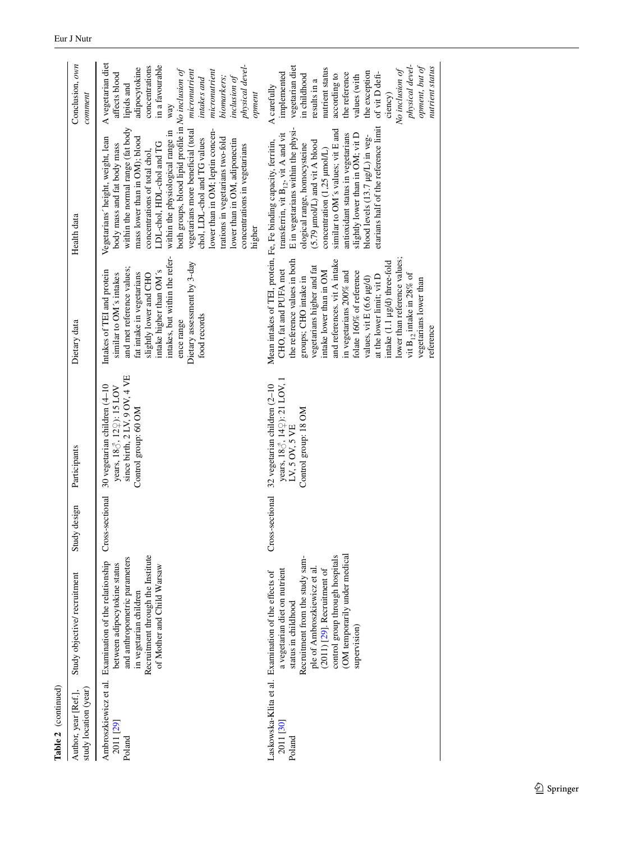| study location (year)<br>Author, year [Ref.], | Study objective/recruitment                                                                                                                                                                                                                                                                         | Study design      | Participants                                                                                                      | Dietary data                                                                                                                                                                                                                                                                                                                                                                                                                   | Health data                                                                                                                                                                                                                                                                                                                                                                                                                                                                                                                | Conclusion, own<br>comment                                                                                                                                                                                                                                                 |
|-----------------------------------------------|-----------------------------------------------------------------------------------------------------------------------------------------------------------------------------------------------------------------------------------------------------------------------------------------------------|-------------------|-------------------------------------------------------------------------------------------------------------------|--------------------------------------------------------------------------------------------------------------------------------------------------------------------------------------------------------------------------------------------------------------------------------------------------------------------------------------------------------------------------------------------------------------------------------|----------------------------------------------------------------------------------------------------------------------------------------------------------------------------------------------------------------------------------------------------------------------------------------------------------------------------------------------------------------------------------------------------------------------------------------------------------------------------------------------------------------------------|----------------------------------------------------------------------------------------------------------------------------------------------------------------------------------------------------------------------------------------------------------------------------|
| 2011 [29]<br>Poland                           | Recruitment through the Institute<br>and anthropometric parameters<br>Ambroszkiewicz et al. Examination of the relationship<br>between adipocytokine status<br>of Mother and Child Warsaw<br>in vegetarian children                                                                                 | Cross-sectional   | since birth, 2 LV, 9 OV, 4 VE<br>30 vegetarian children (4-10<br>years, 188, 122): 15 LOV<br>Control group: 60 OM | intakes, but within the refer-<br>Dietary assessment by 3-day<br>and met reference values;<br>intake higher than OM's<br>Intakes of TEI and protein<br>fat intake in vegetarians<br>similar to OM's intakes<br>slightly lower and CHO<br>food records<br>ence range                                                                                                                                                            | both groups, blood lipid profile in No inclusion of<br>within the normal range (fat body<br>vegetarians more beneficial (total<br>lower than in OM; leptin concen-<br>within the physiological range in<br>Vegetarians' height, weight, lean<br>mass lower than in OM); blood<br>trations in vegetarians two-fold<br>chol, LDL-chol and TG values<br>lower than in OM, adiponectin<br>LDL-chol, HDL-chol and TG<br>body mass and fat body mass<br>concentrations in vegetarians<br>concentrations of total chol,<br>higher | A vegetarian diet<br>physical devel-<br>in a favourable<br>concentrations<br>adipocytokine<br>micronutrient<br>micronutrient<br>affects blood<br>biomarkers;<br>inclusion of<br>intakes and<br>lipids and<br>opment<br>way                                                 |
| 2011 [30]<br>Poland                           | (OM temporarily under medical<br>control group through hospitals<br>Recruitment from the study sam-<br>ple of Ambroszkiewicz et al.<br>a vegetarian diet on nutrient<br>$(2011)$ [29]. Recruitment of<br>askowska-Klita et al. Examination of the effects of<br>status in childhood<br>supervision) | ss-sectional<br>Ğ | years, 188, 14\; 121 LOV, 1<br>32 vegetarian children (2-10<br>Control group: 18 OM<br>LV, 5 OV, 5 VE             | lower than reference values;<br>the reference values in both<br>and references. vit A intake<br>intake (1.1 µg/d) three-fold<br>vegetarians higher and fat<br>CHO, fat and PUFA met<br>in vegetarians 200% and<br>intake lower than in OM<br>folate 160% of reference<br>vit $B_1$ , intake in 28% of<br>at the lower limit; vit D<br>groups; CHO intake in<br>values, vit E (6.6 µg/d)<br>vegetarians lower than<br>reference | etarians half of the reference limit<br>E in vegetarians within the physi-<br>similar to OM's values; vit E and<br>transferrin, vit $B_{12}$ , vit A and vit<br>antioxidant status in vegetarians<br>slightly lower than in OM; vit D<br>blood levels (13.7 µg/L) in veg-<br>Mean intakes of TEI, protein, Fe, Fe binding capacity, ferritin,<br>(5.79 µmol/L) and vit A blood<br>ological range, homocysteine<br>concentration $(1,25 \text{ µmol/L})$                                                                    | physical devel-<br>opment, but of<br>vegetarian diet<br>nutrient status<br>nutrient status<br>No inclusion of<br>the exception<br>implemented<br>of vit D defi-<br>the reference<br>according to<br>in childhood<br>values (with<br>results in a<br>A carefully<br>ciency) |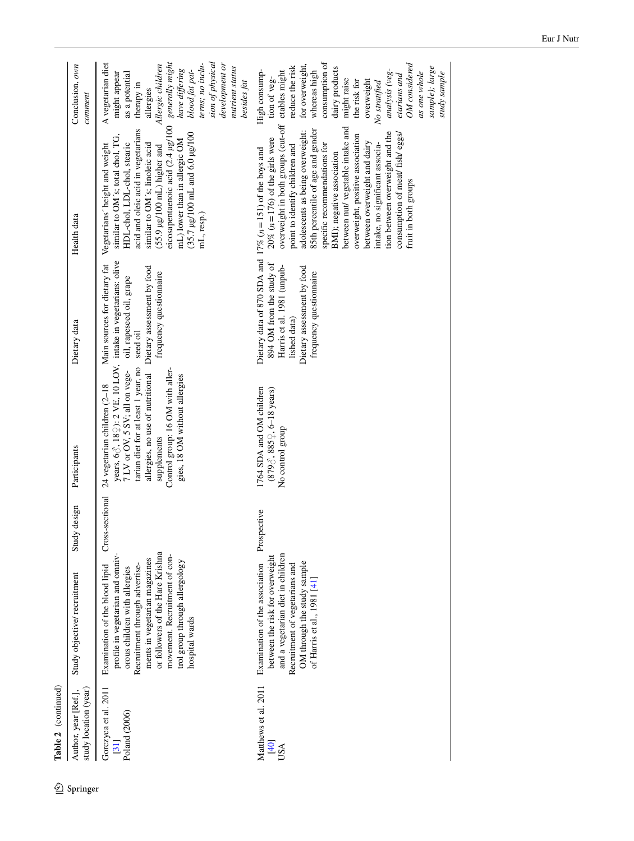|            | Table 2 (continued)                           |                                                                                                                                                                                                                                                                                                 |                  |                                                                                                                                                                                                                                                                                                                                                                      |                                                                                                                                 |                                                                                                                                                                                                                                                                                                                                                                                                                                                                                                                                                                 |                                                                                                                                                                                                                                                                                                             |
|------------|-----------------------------------------------|-------------------------------------------------------------------------------------------------------------------------------------------------------------------------------------------------------------------------------------------------------------------------------------------------|------------------|----------------------------------------------------------------------------------------------------------------------------------------------------------------------------------------------------------------------------------------------------------------------------------------------------------------------------------------------------------------------|---------------------------------------------------------------------------------------------------------------------------------|-----------------------------------------------------------------------------------------------------------------------------------------------------------------------------------------------------------------------------------------------------------------------------------------------------------------------------------------------------------------------------------------------------------------------------------------------------------------------------------------------------------------------------------------------------------------|-------------------------------------------------------------------------------------------------------------------------------------------------------------------------------------------------------------------------------------------------------------------------------------------------------------|
| 2 Springer | study location (year)<br>Author, year [Ref.], | Study objective/recruitment                                                                                                                                                                                                                                                                     | Study design     | Participants                                                                                                                                                                                                                                                                                                                                                         | Dietary data                                                                                                                    | Health data                                                                                                                                                                                                                                                                                                                                                                                                                                                                                                                                                     | Conclusion, own<br>comment                                                                                                                                                                                                                                                                                  |
|            | Gorczyca et al. 2011<br>Poland (2006)<br>[31] | or followers of the Hare Krishna<br>movement. Recruitment of con-<br>profile in vegetarian and omniv-<br>ments in vegetarian magazines<br>trol group through allergology<br>Examination of the blood lipid<br>Recruitment through advertise-<br>orous children with allergies<br>hospital wards | Cross-sectional  | years, $6\text{C}$ , $18\text{C}$ ): 2 VE, 10 LOV, intake in vegetarians: olive<br>allergies, no use of nutritional Dietary assessment by food<br>7 LV or OV, 5 SV; all on vege- oil, rapeseed oil, grape<br>tarian diet for at least 1 year, no<br>Control group: 16 OM with aller-<br>gies, 18 OM without allergies<br>24 vegetarian children (2-18<br>supplements | Main sources for dietary fat<br>frequency questionnaire<br>seed oil                                                             | eicosapentaenoic acid (2.4 µg/100<br>acid and oleic acid in vegetarians<br>$(35.7 \,\mu g/100 \,\text{mL}$ and 6.0 $\mu g/100$<br>similar to OM's; total chol, TG,<br>mL) lower than in allergic OM<br>HDL-chol, LDL-chol, stearic<br>similar to OM's; linoleic acid<br>Vegetarians' height and weight<br>$(55.9 \mu g/100 \text{ mL})$ higher and<br>mL, resp.)                                                                                                                                                                                                | sion of physical<br>generally might<br>A vegetarian diet<br>terns; no inclu-<br>development or<br>Allergic children<br>nutrient status<br>have differing<br>blood fat pat-<br>might appear<br>as a potential<br>besides fat<br>therapy in<br>allergies                                                      |
|            | Matthews et al. 2011<br>[40]<br>USA           | and a vegetarian diet in children<br>between the risk for overweight<br>OM through the study sample<br>Examination of the association<br>Recruitment of vegetarians and<br>of Harris et al., 1981 [41                                                                                           | pective<br>Prosp | 1764 SDA and OM children<br>$(879\text{C}, 885\text{C}, 6-18 \text{ years})$<br>No control group                                                                                                                                                                                                                                                                     | 894 OM from the study of<br>Harris et al. 1981 (unpub-<br>Dietary assessment by food<br>frequency questionnaire<br>lished data) | overweight in both groups (cut-off<br>between nut/vegetable intake and<br>85th percentile of age and gender<br>adolescents as being overweight:<br>tion between overweight and the<br>consumption of meat/ fish/eggs/<br>overweight, positive association<br>$20\%$ ( $n = 176$ ) of the girls were<br>between overweight and dairy<br>specific recommendations for<br>point to identify children and<br>intake, no significant associa-<br>Dietary data of 870 SDA and 17% ( $n = 151$ ) of the boys and<br>BMI); negative association<br>fruit in both groups | consumption of<br>for overweight,<br>OM considered<br>reduce the risk<br>dairy products<br>sample); large<br>whereas high<br>High consump-<br>analysis (veg-<br>etables might<br>as one whole<br>study sample<br>etarians and<br>tion of veg-<br>might raise<br>overweight<br>the risk for<br>No stratified |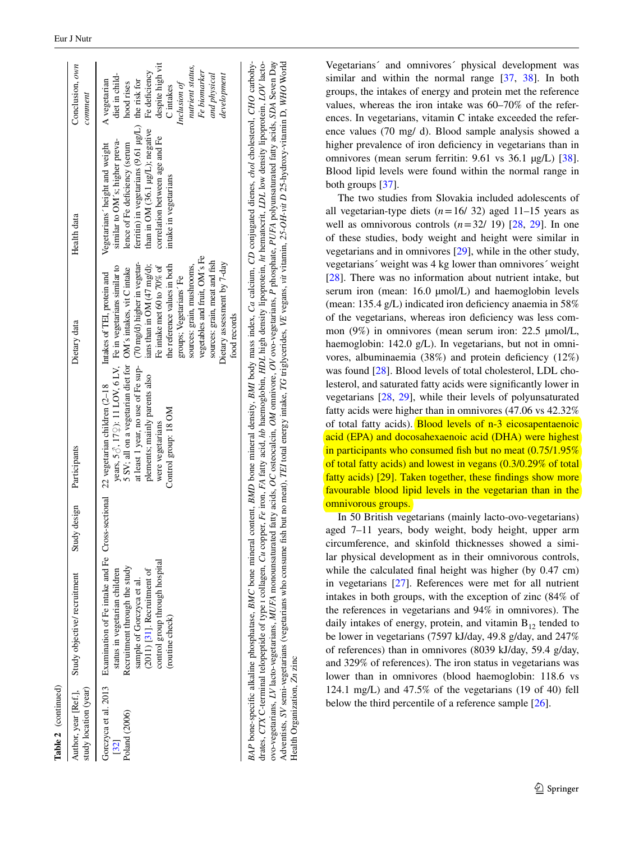| Table 2 (continued)                           |                                                                                                                                                                                                                                                                                                                                |              |                                                                                                                                                                                                                                                                                              |                                                                                                                                                                                                                                                                    |                                                                                                                                                                                                                                                            |                                                                                                                                                                                   |
|-----------------------------------------------|--------------------------------------------------------------------------------------------------------------------------------------------------------------------------------------------------------------------------------------------------------------------------------------------------------------------------------|--------------|----------------------------------------------------------------------------------------------------------------------------------------------------------------------------------------------------------------------------------------------------------------------------------------------|--------------------------------------------------------------------------------------------------------------------------------------------------------------------------------------------------------------------------------------------------------------------|------------------------------------------------------------------------------------------------------------------------------------------------------------------------------------------------------------------------------------------------------------|-----------------------------------------------------------------------------------------------------------------------------------------------------------------------------------|
| Author, year [Ref.],<br>study location (year) | Study objective/recruitment                                                                                                                                                                                                                                                                                                    | Study design | Participants                                                                                                                                                                                                                                                                                 | Dietary data                                                                                                                                                                                                                                                       | Health data                                                                                                                                                                                                                                                | Conclusion, own<br>comment                                                                                                                                                        |
| Poland (2006)<br>$[32]$                       | Gorczyca et al. 2013 Examination of Fe intake and Fe Cross-sectional 22 vegetarian children $(2-18 \text{ Intakes of TH, protein and } )$<br>control group through hospital<br>Recruitment through the study<br>status in vegetarian children<br>$(2011)$ [31]. Recruitment of<br>sample of Gorczyca et al.<br>(routine check) |              | at least 1 year, no use of Fe sup- (70 mg/d) higher in vegetar-<br>years, $5\delta$ , $17\Omega$ ): 11 LOV, 6 LV, Fe in vegetarians similar to<br>5 SV; all on a vegetarian diet for OM's intakes, vit C intake<br>plements; mainly parents also<br>Control group: 18 OM<br>were vegetarians | vegetables and fruit, OM's Fe<br>sources: grain, meat and fish<br>Dietary assessment by 7-day<br>ians than in OM (47 mg/d);<br>the reference values in both<br>sources: grain, mushrooms,<br>Fe intake met 60 to 70% of<br>groups; Vegetarians' Fe<br>food records | ferritin) in vegetarians $(9.61 \mu g/L)$ the risk for<br>than in OM (36.1 µg/L); negative<br>correlation between age and Fe<br>similar to OM's; higher preva-<br>Vegetarians' height and weight<br>lence of Fe deficiency (serum<br>intake in vegetarians | despite high vit<br>nutrient status,<br>Fe biomarker<br>Fe deficiency<br>and physical<br>development<br>diet in child-<br>A vegetarian<br>Inclusion of<br>hood rises<br>C intakes |
|                                               | BAP bone-specific alkaline phosphatase, BMC bone mineral content, BMD bone mineral density, BMI body mass index, Ca calcium, CD conjugated dienes, <i>chol</i> cholesterol, CHO carbohy-                                                                                                                                       |              |                                                                                                                                                                                                                                                                                              |                                                                                                                                                                                                                                                                    |                                                                                                                                                                                                                                                            |                                                                                                                                                                                   |
|                                               |                                                                                                                                                                                                                                                                                                                                |              |                                                                                                                                                                                                                                                                                              |                                                                                                                                                                                                                                                                    | drates, CTX C-terminal telopeptide of type 1 collagen, Cu copper, Fe iron, FA fatty acid, hb haemoglobin, HDL high density lipoprotein, ht hematocrit, LDL low density lipoprotein, LOV lacto-                                                             |                                                                                                                                                                                   |

ovo-vegetarians, *LV* lacto-vegetarians, *MUFA* monounsaturated fatty acids, *OC* osteocalcin, *OM* omnivore, *OV* ovo-vegetarians,

Health Organization, *Zn* zinc

Health Organization, Zn zinc

Adventists, SV semi-vegetarians (vegetarians who consume fish but no meat), TEI total energy intake, TC triglycerides, VE vegans, vit vitamin, 25-OH-vit D 25-hydroxy-vitamin D, WHO World

Adventists, SV semi-vegetarians (vegetarians who consume fish but no meat), TEI total energy intake, TG triglycerides, VE vegans, vit vitamin, 25-OH-vit D 25-hydroxy-vitamin D, WHO World

ovo-vegetarians, LV lacto-vegetarians, MUFA monounsaturated fatty acids, OC osteocalcin, OM omnivore, OV ovo-vegetarians, P phosphate, PUFA polyunsaturated fatty acids, SDA Seven Day

*P* phosphate, *PUFA* polyunsaturated fatty acids, *SDA* Seven Day

Vegetarians´ and omnivores´ physical development was similar and within the normal range [\[37](#page-20-16), [38](#page-20-0)]. In both groups, the intakes of energy and protein met the reference values, whereas the iron intake was 60–70% of the references. In vegetarians, vitamin C intake exceeded the reference values (70 mg/ d). Blood sample analysis showed a higher prevalence of iron deficiency in vegetarians than in omnivores (mean serum ferritin: 9.61 vs 36.1 µg/L) [\[38](#page-20-0)]. Blood lipid levels were found within the normal range in both groups [[37\]](#page-20-16).

The two studies from Slovakia included adolescents of all vegetarian-type diets  $(n=16/32)$  aged 11–15 years as well as omnivorous controls  $(n=32/19)$   $[28, 29]$  $[28, 29]$  $[28, 29]$  $[28, 29]$ . In one of these studies, body weight and height were similar in vegetarians and in omnivores [\[29](#page-20-12)], while in the other study, vegetarians´ weight was 4 kg lower than omnivores´ weight [\[28](#page-20-11)]. There was no information about nutrient intake, but serum iron (mean:  $16.0 \mu$ mol/L) and haemoglobin levels (mean: 135.4 g/L) indicated iron deficiency anaemia in 58% of the vegetarians, whereas iron deficiency was less common (9%) in omnivores (mean serum iron: 22.5 µmol/L, haemoglobin: 142.0 g/L). In vegetarians, but not in omnivores, albuminaemia (38%) and protein deficiency (12%) was found [\[28](#page-20-11)]. Blood levels of total cholesterol, LDL cholesterol, and saturated fatty acids were significantly lower in vegetarians [\[28](#page-20-11), [29\]](#page-20-12), while their levels of polyunsaturated fatty acids were higher than in omnivores (47.06 vs 42.32% of total fatty acids). Blood levels of n-3 eicosapentaenoic acid (EPA) and docosahexaenoic acid (DHA) were highest in participants who consumed fish but no meat  $(0.75/1.95\%)$ of total fatty acids) and lowest in vegans (0.3/0.29% of total fatty acids) [\[29](#page-20-12)]. Taken together, these findings show more favourable blood lipid levels in the vegetarian than in the omnivorous groups.

In 50 British vegetarians (mainly lacto-ovo-vegetarians) aged 7–11 years, body weight, body height, upper arm circumference, and skinfold thicknesses showed a similar physical development as in their omnivorous controls, while the calculated final height was higher (by 0.47 cm) in vegetarians [\[27](#page-19-24)]. References were met for all nutrient intakes in both groups, with the exception of zinc (84% of the references in vegetarians and 94% in omnivores). The daily intakes of energy, protein, and vitamin  $B_{12}$  tended to be lower in vegetarians (7597 kJ/day, 49.8 g/day, and 247% of references) than in omnivores (8039 kJ/day, 59.4 g/day, and 329% of references). The iron status in vegetarians was lower than in omnivores (blood haemoglobin: 118.6 vs 124.1 mg/L) and 47.5% of the vegetarians (19 of 40) fell below the third percentile of a reference sample [\[26](#page-19-23)].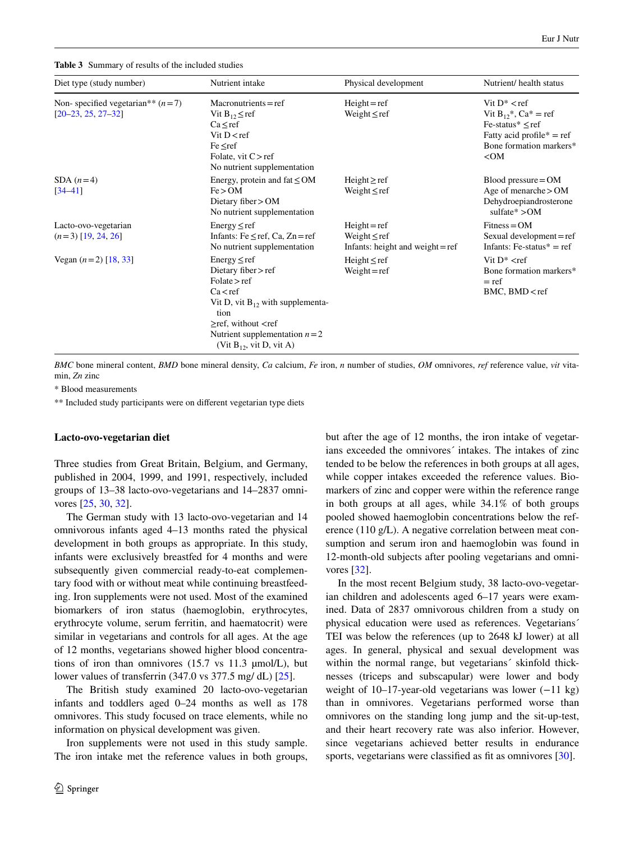<span id="page-15-0"></span>**Table 3** Summary of results of the included studies

| Diet type (study number)                                                   | Nutrient intake                                                                                                                                                                                                                | Physical development                                                      | Nutrient/health status                                                                                                                                     |
|----------------------------------------------------------------------------|--------------------------------------------------------------------------------------------------------------------------------------------------------------------------------------------------------------------------------|---------------------------------------------------------------------------|------------------------------------------------------------------------------------------------------------------------------------------------------------|
| Non-specified vegetarian <sup>**</sup> $(n=7)$<br>$[20 - 23, 25, 27 - 32]$ | $Macronutrients = ref$<br>Vit $B_{12} \leq ref$<br>$Ca \leq ref$<br>Vit $D < ref$<br>$Fe \leq ref$<br>Folate, vit $C > ref$<br>No nutrient supplementation                                                                     | $Height = ref$<br>Weight $\leq$ ref                                       | Vit $D^* <$ ref<br>Vit $B_{12}^*$ , Ca <sup>*</sup> = ref<br>$Fe$ -status* $\leq$ ref<br>Fatty acid profile $* = ref$<br>Bone formation markers*<br>$<$ OM |
| SDA $(n=4)$<br>$[34 - 41]$                                                 | Energy, protein and $fat \leq OM$<br>Fe > OM<br>Dietary fiber $>$ OM<br>No nutrient supplementation                                                                                                                            | Height $\geq$ ref<br>Weight $\leq$ ref                                    | $Blood pressure = OM$<br>Age of menarche $>$ OM<br>Dehydroepiandrosterone<br>sulfate* $>$ OM                                                               |
| Lacto-ovo-vegetarian<br>$(n=3)$ [19, 24, 26]                               | $Energy \leq ref$<br>Infants: Fe $\leq$ ref, Ca, Zn = ref<br>No nutrient supplementation                                                                                                                                       | $Height = ref$<br>Weight $\leq$ ref<br>Infants: height and weight $=$ ref | $Fitness = OM$<br>Sexual development= $ref$<br>Infants: $Fe$ -status $* = ref$                                                                             |
| Vegan $(n=2)$ [18, 33]                                                     | $Energy \leq ref$<br>Dietary fiber $>$ ref<br>Folate > ref<br>Ca < ref<br>Vit D, vit $B_{12}$ with supplementa-<br>tion<br>$\geq$ ref, without $\leq$ ref<br>Nutrient supplementation $n = 2$<br>(Vit $B_{12}$ , vit D, vit A) | Height $\leq$ ref<br>Weight = $ref$                                       | Vit $D^* <$ ref<br>Bone formation markers*<br>$= ref$<br>BMC, BMD <ref< td=""></ref<>                                                                      |

*BMC* bone mineral content, *BMD* bone mineral density, *Ca* calcium, *Fe* iron, *n* number of studies, *OM* omnivores, *ref* reference value, *vit* vitamin, *Zn* zinc

\* Blood measurements

\*\* Included study participants were on different vegetarian type diets

#### **Lacto‑ovo‑vegetarian diet**

Three studies from Great Britain, Belgium, and Germany, published in 2004, 1999, and 1991, respectively, included groups of 13–38 lacto-ovo-vegetarians and 14–2837 omnivores [\[25](#page-19-22), [30](#page-20-6), [32](#page-20-10)].

The German study with 13 lacto-ovo-vegetarian and 14 omnivorous infants aged 4–13 months rated the physical development in both groups as appropriate. In this study, infants were exclusively breastfed for 4 months and were subsequently given commercial ready-to-eat complementary food with or without meat while continuing breastfeeding. Iron supplements were not used. Most of the examined biomarkers of iron status (haemoglobin, erythrocytes, erythrocyte volume, serum ferritin, and haematocrit) were similar in vegetarians and controls for all ages. At the age of 12 months, vegetarians showed higher blood concentrations of iron than omnivores  $(15.7 \text{ vs } 11.3 \text{ µmol/L})$ , but lower values of transferrin (347.0 vs 377.5 mg/ dL) [[25\]](#page-19-22).

The British study examined 20 lacto-ovo-vegetarian infants and toddlers aged 0–24 months as well as 178 omnivores. This study focused on trace elements, while no information on physical development was given.

Iron supplements were not used in this study sample. The iron intake met the reference values in both groups, but after the age of 12 months, the iron intake of vegetarians exceeded the omnivores´ intakes. The intakes of zinc tended to be below the references in both groups at all ages, while copper intakes exceeded the reference values. Biomarkers of zinc and copper were within the reference range in both groups at all ages, while 34.1% of both groups pooled showed haemoglobin concentrations below the reference (110 g/L). A negative correlation between meat consumption and serum iron and haemoglobin was found in 12-month-old subjects after pooling vegetarians and omnivores [\[32](#page-20-10)].

In the most recent Belgium study, 38 lacto-ovo-vegetarian children and adolescents aged 6–17 years were examined. Data of 2837 omnivorous children from a study on physical education were used as references. Vegetarians´ TEI was below the references (up to 2648 kJ lower) at all ages. In general, physical and sexual development was within the normal range, but vegetarians' skinfold thicknesses (triceps and subscapular) were lower and body weight of 10–17-year-old vegetarians was lower (−11 kg) than in omnivores. Vegetarians performed worse than omnivores on the standing long jump and the sit-up-test, and their heart recovery rate was also inferior. However, since vegetarians achieved better results in endurance sports, vegetarians were classified as fit as omnivores [[30\]](#page-20-6).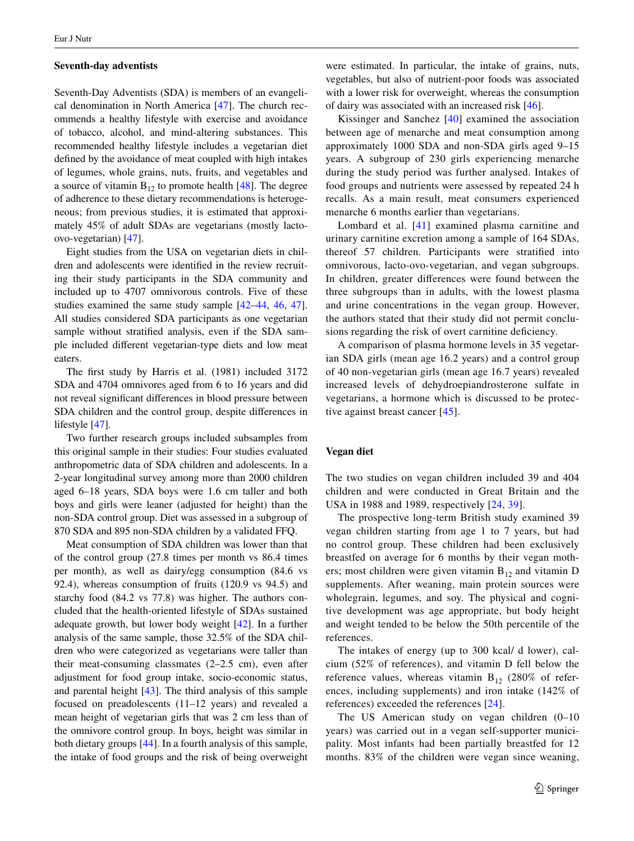#### **Seventh‑day adventists**

Seventh-Day Adventists (SDA) is members of an evangelical denomination in North America [[47\]](#page-20-2). The church recommends a healthy lifestyle with exercise and avoidance of tobacco, alcohol, and mind-altering substances. This recommended healthy lifestyle includes a vegetarian diet defined by the avoidance of meat coupled with high intakes of legumes, whole grains, nuts, fruits, and vegetables and a source of vitamin  $B_{12}$  to promote health [\[48](#page-20-20)]. The degree of adherence to these dietary recommendations is heterogeneous; from previous studies, it is estimated that approximately 45% of adult SDAs are vegetarians (mostly lactoovo-vegetarian) [\[47](#page-20-2)].

Eight studies from the USA on vegetarian diets in children and adolescents were identified in the review recruiting their study participants in the SDA community and included up to 4707 omnivorous controls. Five of these studies examined the same study sample [[42–](#page-20-7)[44,](#page-20-18) [46](#page-20-4), [47](#page-20-2)]. All studies considered SDA participants as one vegetarian sample without stratified analysis, even if the SDA sample included different vegetarian-type diets and low meat eaters.

The first study by Harris et al. (1981) included 3172 SDA and 4704 omnivores aged from 6 to 16 years and did not reveal significant differences in blood pressure between SDA children and the control group, despite differences in lifestyle [\[47](#page-20-2)].

Two further research groups included subsamples from this original sample in their studies: Four studies evaluated anthropometric data of SDA children and adolescents. In a 2-year longitudinal survey among more than 2000 children aged 6–18 years, SDA boys were 1.6 cm taller and both boys and girls were leaner (adjusted for height) than the non-SDA control group. Diet was assessed in a subgroup of 870 SDA and 895 non-SDA children by a validated FFQ.

Meat consumption of SDA children was lower than that of the control group (27.8 times per month vs 86.4 times per month), as well as dairy/egg consumption (84.6 vs 92.4), whereas consumption of fruits (120.9 vs 94.5) and starchy food (84.2 vs 77.8) was higher. The authors concluded that the health-oriented lifestyle of SDAs sustained adequate growth, but lower body weight [[42\]](#page-20-7). In a further analysis of the same sample, those 32.5% of the SDA children who were categorized as vegetarians were taller than their meat-consuming classmates  $(2-2.5 \text{ cm})$ , even after adjustment for food group intake, socio-economic status, and parental height [[43\]](#page-20-13). The third analysis of this sample focused on preadolescents (11–12 years) and revealed a mean height of vegetarian girls that was 2 cm less than of the omnivore control group. In boys, height was similar in both dietary groups [\[44](#page-20-18)]. In a fourth analysis of this sample, the intake of food groups and the risk of being overweight

were estimated. In particular, the intake of grains, nuts, vegetables, but also of nutrient-poor foods was associated with a lower risk for overweight, whereas the consumption of dairy was associated with an increased risk [\[46](#page-20-4)].

Kissinger and Sanchez [[40](#page-20-14)] examined the association between age of menarche and meat consumption among approximately 1000 SDA and non-SDA girls aged 9–15 years. A subgroup of 230 girls experiencing menarche during the study period was further analysed. Intakes of food groups and nutrients were assessed by repeated 24 h recalls. As a main result, meat consumers experienced menarche 6 months earlier than vegetarians.

Lombard et al. [[41](#page-20-9)] examined plasma carnitine and urinary carnitine excretion among a sample of 164 SDAs, thereof 57 children. Participants were stratified into omnivorous, lacto-ovo-vegetarian, and vegan subgroups. In children, greater differences were found between the three subgroups than in adults, with the lowest plasma and urine concentrations in the vegan group. However, the authors stated that their study did not permit conclusions regarding the risk of overt carnitine deficiency.

A comparison of plasma hormone levels in 35 vegetarian SDA girls (mean age 16.2 years) and a control group of 40 non-vegetarian girls (mean age 16.7 years) revealed increased levels of dehydroepiandrosterone sulfate in vegetarians, a hormone which is discussed to be protec-tive against breast cancer [\[45](#page-20-8)].

# **Vegan diet**

The two studies on vegan children included 39 and 404 children and were conducted in Great Britain and the USA in 1988 and 1989, respectively [[24](#page-19-21), [39\]](#page-20-1).

The prospective long-term British study examined 39 vegan children starting from age 1 to 7 years, but had no control group. These children had been exclusively breastfed on average for 6 months by their vegan mothers; most children were given vitamin  $B_{12}$  and vitamin D supplements. After weaning, main protein sources were wholegrain, legumes, and soy. The physical and cognitive development was age appropriate, but body height and weight tended to be below the 50th percentile of the references.

The intakes of energy (up to 300 kcal/ d lower), calcium (52% of references), and vitamin D fell below the reference values, whereas vitamin  $B_{12}$  (280% of references, including supplements) and iron intake (142% of references) exceeded the references [\[24\]](#page-19-21).

The US American study on vegan children (0–10 years) was carried out in a vegan self-supporter municipality. Most infants had been partially breastfed for 12 months. 83% of the children were vegan since weaning,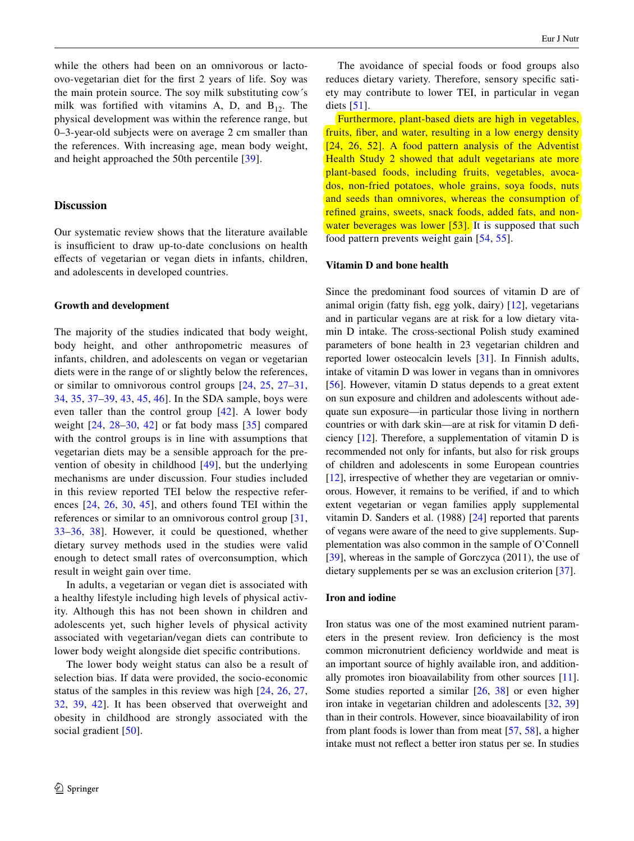while the others had been on an omnivorous or lactoovo-vegetarian diet for the first 2 years of life. Soy was the main protein source. The soy milk substituting cow´s milk was fortified with vitamins A, D, and  $B_{12}$ . The physical development was within the reference range, but 0–3-year-old subjects were on average 2 cm smaller than the references. With increasing age, mean body weight, and height approached the 50th percentile [\[39\]](#page-20-1).

# **Discussion**

Our systematic review shows that the literature available is insufficient to draw up-to-date conclusions on health effects of vegetarian or vegan diets in infants, children, and adolescents in developed countries.

# **Growth and development**

The majority of the studies indicated that body weight, body height, and other anthropometric measures of infants, children, and adolescents on vegan or vegetarian diets were in the range of or slightly below the references, or similar to omnivorous control groups [[24](#page-19-21), [25,](#page-19-22) [27](#page-19-24)[–31,](#page-20-3) [34](#page-20-17), [35,](#page-20-15) [37–](#page-20-16)[39,](#page-20-1) [43,](#page-20-13) [45](#page-20-8), [46\]](#page-20-4). In the SDA sample, boys were even taller than the control group [[42\]](#page-20-7). A lower body weight [[24](#page-19-21), [28](#page-20-11)[–30](#page-20-6), [42](#page-20-7)] or fat body mass [\[35\]](#page-20-15) compared with the control groups is in line with assumptions that vegetarian diets may be a sensible approach for the prevention of obesity in childhood [\[49\]](#page-20-21), but the underlying mechanisms are under discussion. Four studies included in this review reported TEI below the respective references [\[24](#page-19-21), [26](#page-19-23), [30,](#page-20-6) [45\]](#page-20-8), and others found TEI within the references or similar to an omnivorous control group [\[31,](#page-20-3) [33](#page-20-5)[–36,](#page-20-19) [38\]](#page-20-0). However, it could be questioned, whether dietary survey methods used in the studies were valid enough to detect small rates of overconsumption, which result in weight gain over time.

In adults, a vegetarian or vegan diet is associated with a healthy lifestyle including high levels of physical activity. Although this has not been shown in children and adolescents yet, such higher levels of physical activity associated with vegetarian/vegan diets can contribute to lower body weight alongside diet specific contributions.

The lower body weight status can also be a result of selection bias. If data were provided, the socio-economic status of the samples in this review was high [[24,](#page-19-21) [26,](#page-19-23) [27,](#page-19-24) [32](#page-20-10), [39,](#page-20-1) [42\]](#page-20-7). It has been observed that overweight and obesity in childhood are strongly associated with the social gradient [[50](#page-20-22)].

The avoidance of special foods or food groups also reduces dietary variety. Therefore, sensory specific satiety may contribute to lower TEI, in particular in vegan diets  $[51]$  $[51]$  $[51]$ .

Furthermore, plant-based diets are high in vegetables, fruits, fiber, and water, resulting in a low energy density [[24,](#page-19-21) [26,](#page-19-23) [52](#page-20-24)]. A food pattern analysis of the Adventist Health Study 2 showed that adult vegetarians ate more plant-based foods, including fruits, vegetables, avocados, non-fried potatoes, whole grains, soya foods, nuts and seeds than omnivores, whereas the consumption of refined grains, sweets, snack foods, added fats, and non-water beverages was lower [[53](#page-20-25)]. It is supposed that such food pattern prevents weight gain [\[54,](#page-20-26) [55](#page-20-27)].

### **Vitamin D and bone health**

Since the predominant food sources of vitamin D are of animal origin (fatty fish, egg yolk, dairy) [[12\]](#page-19-9), vegetarians and in particular vegans are at risk for a low dietary vitamin D intake. The cross-sectional Polish study examined parameters of bone health in 23 vegetarian children and reported lower osteocalcin levels [[31\]](#page-20-3). In Finnish adults, intake of vitamin D was lower in vegans than in omnivores [\[56](#page-20-28)]. However, vitamin D status depends to a great extent on sun exposure and children and adolescents without adequate sun exposure—in particular those living in northern countries or with dark skin—are at risk for vitamin D deficiency [\[12](#page-19-9)]. Therefore, a supplementation of vitamin D is recommended not only for infants, but also for risk groups of children and adolescents in some European countries [\[12](#page-19-9)], irrespective of whether they are vegetarian or omnivorous. However, it remains to be verified, if and to which extent vegetarian or vegan families apply supplemental vitamin D. Sanders et al. (1988) [[24\]](#page-19-21) reported that parents of vegans were aware of the need to give supplements. Supplementation was also common in the sample of O'Connell [\[39](#page-20-1)], whereas in the sample of Gorczyca (2011), the use of dietary supplements per se was an exclusion criterion [\[37](#page-20-16)].

# **Iron and iodine**

Iron status was one of the most examined nutrient parameters in the present review. Iron deficiency is the most common micronutrient deficiency worldwide and meat is an important source of highly available iron, and additionally promotes iron bioavailability from other sources [\[11](#page-19-8)]. Some studies reported a similar [\[26](#page-19-23), [38](#page-20-0)] or even higher iron intake in vegetarian children and adolescents [\[32](#page-20-10), [39\]](#page-20-1) than in their controls. However, since bioavailability of iron from plant foods is lower than from meat [[57,](#page-20-29) [58\]](#page-20-30), a higher intake must not reflect a better iron status per se. In studies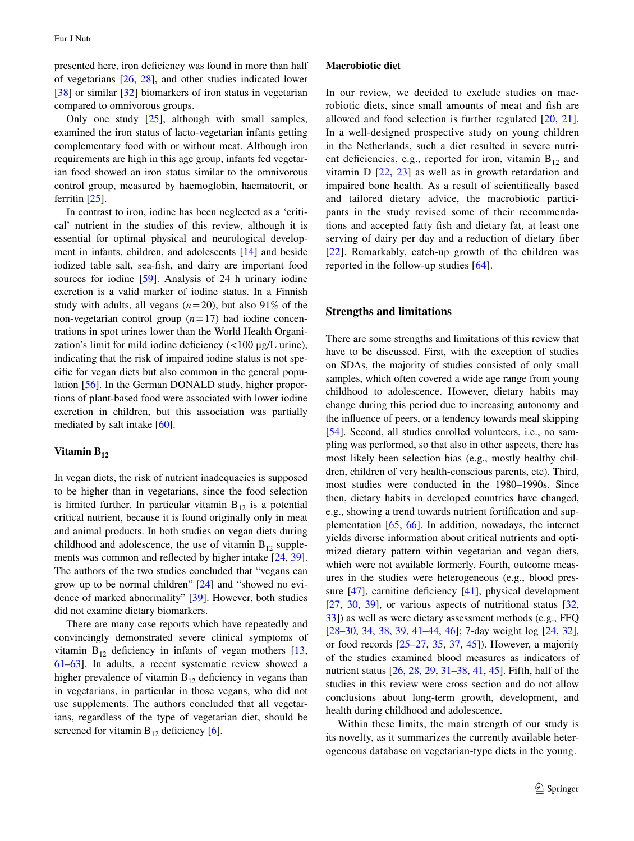presented here, iron deficiency was found in more than half of vegetarians [[26,](#page-19-23) [28](#page-20-11)], and other studies indicated lower [\[38](#page-20-0)] or similar [\[32](#page-20-10)] biomarkers of iron status in vegetarian compared to omnivorous groups.

Only one study  $[25]$  $[25]$ , although with small samples, examined the iron status of lacto-vegetarian infants getting complementary food with or without meat. Although iron requirements are high in this age group, infants fed vegetarian food showed an iron status similar to the omnivorous control group, measured by haemoglobin, haematocrit, or ferritin [[25\]](#page-19-22).

In contrast to iron, iodine has been neglected as a 'critical' nutrient in the studies of this review, although it is essential for optimal physical and neurological development in infants, children, and adolescents [[14\]](#page-19-11) and beside iodized table salt, sea-fish, and dairy are important food sources for iodine [\[59](#page-20-31)]. Analysis of 24 h urinary iodine excretion is a valid marker of iodine status. In a Finnish study with adults, all vegans  $(n=20)$ , but also 91% of the non-vegetarian control group (*n*=17) had iodine concentrations in spot urines lower than the World Health Organization's limit for mild iodine deficiency (<100 μg/L urine), indicating that the risk of impaired iodine status is not specific for vegan diets but also common in the general population [[56\]](#page-20-28). In the German DONALD study, higher proportions of plant-based food were associated with lower iodine excretion in children, but this association was partially mediated by salt intake [\[60](#page-20-32)].

# Vitamin B<sub>12</sub>

In vegan diets, the risk of nutrient inadequacies is supposed to be higher than in vegetarians, since the food selection is limited further. In particular vitamin  $B_{12}$  is a potential critical nutrient, because it is found originally only in meat and animal products. In both studies on vegan diets during childhood and adolescence, the use of vitamin  $B_{12}$  supplements was common and reflected by higher intake [\[24](#page-19-21), [39](#page-20-1)]. The authors of the two studies concluded that "vegans can grow up to be normal children" [[24\]](#page-19-21) and "showed no evidence of marked abnormality" [[39\]](#page-20-1). However, both studies did not examine dietary biomarkers.

There are many case reports which have repeatedly and convincingly demonstrated severe clinical symptoms of vitamin  $B_{12}$  deficiency in infants of vegan mothers [[13,](#page-19-10) [61](#page-20-33)[–63](#page-20-34)]. In adults, a recent systematic review showed a higher prevalence of vitamin  $B_{12}$  deficiency in vegans than in vegetarians, in particular in those vegans, who did not use supplements. The authors concluded that all vegetarians, regardless of the type of vegetarian diet, should be screened for vitamin  $B_{12}$  deficiency [[6\]](#page-19-5).

#### **Macrobiotic diet**

In our review, we decided to exclude studies on macrobiotic diets, since small amounts of meat and fish are allowed and food selection is further regulated [\[20,](#page-19-17) [21](#page-19-18)]. In a well-designed prospective study on young children in the Netherlands, such a diet resulted in severe nutrient deficiencies, e.g., reported for iron, vitamin  $B_{12}$  and vitamin D [[22](#page-19-19), [23](#page-19-20)] as well as in growth retardation and impaired bone health. As a result of scientifically based and tailored dietary advice, the macrobiotic participants in the study revised some of their recommendations and accepted fatty fish and dietary fat, at least one serving of dairy per day and a reduction of dietary fiber [[22\]](#page-19-19). Remarkably, catch-up growth of the children was reported in the follow-up studies [[64](#page-20-35)].

# **Strengths and limitations**

There are some strengths and limitations of this review that have to be discussed. First, with the exception of studies on SDAs, the majority of studies consisted of only small samples, which often covered a wide age range from young childhood to adolescence. However, dietary habits may change during this period due to increasing autonomy and the influence of peers, or a tendency towards meal skipping [\[54](#page-20-26)]. Second, all studies enrolled volunteers, i.e., no sampling was performed, so that also in other aspects, there has most likely been selection bias (e.g., mostly healthy children, children of very health-conscious parents, etc). Third, most studies were conducted in the 1980–1990s. Since then, dietary habits in developed countries have changed, e.g., showing a trend towards nutrient fortification and supplementation [[65,](#page-20-36) [66\]](#page-20-37). In addition, nowadays, the internet yields diverse information about critical nutrients and optimized dietary pattern within vegetarian and vegan diets, which were not available formerly. Fourth, outcome measures in the studies were heterogeneous (e.g., blood pressure [[47\]](#page-20-2), carnitine deficiency [[41\]](#page-20-9), physical development  $[27, 30, 39]$  $[27, 30, 39]$  $[27, 30, 39]$  $[27, 30, 39]$  $[27, 30, 39]$  $[27, 30, 39]$ , or various aspects of nutritional status  $[32, 30]$  $[32, 30]$  $[32, 30]$ [33](#page-20-5)]) as well as were dietary assessment methods (e.g., FFQ [\[28](#page-20-11)[–30](#page-20-6), [34](#page-20-17), [38,](#page-20-0) [39,](#page-20-1) [41](#page-20-9)[–44](#page-20-18), [46](#page-20-4)]; 7-day weight log [[24,](#page-19-21) [32](#page-20-10)], or food records [\[25](#page-19-22)[–27](#page-19-24), [35](#page-20-15), [37](#page-20-16), [45](#page-20-8)]). However, a majority of the studies examined blood measures as indicators of nutrient status [[26,](#page-19-23) [28](#page-20-11), [29](#page-20-12), [31](#page-20-3)[–38](#page-20-0), [41](#page-20-9), [45\]](#page-20-8). Fifth, half of the studies in this review were cross section and do not allow conclusions about long-term growth, development, and health during childhood and adolescence.

Within these limits, the main strength of our study is its novelty, as it summarizes the currently available heterogeneous database on vegetarian-type diets in the young.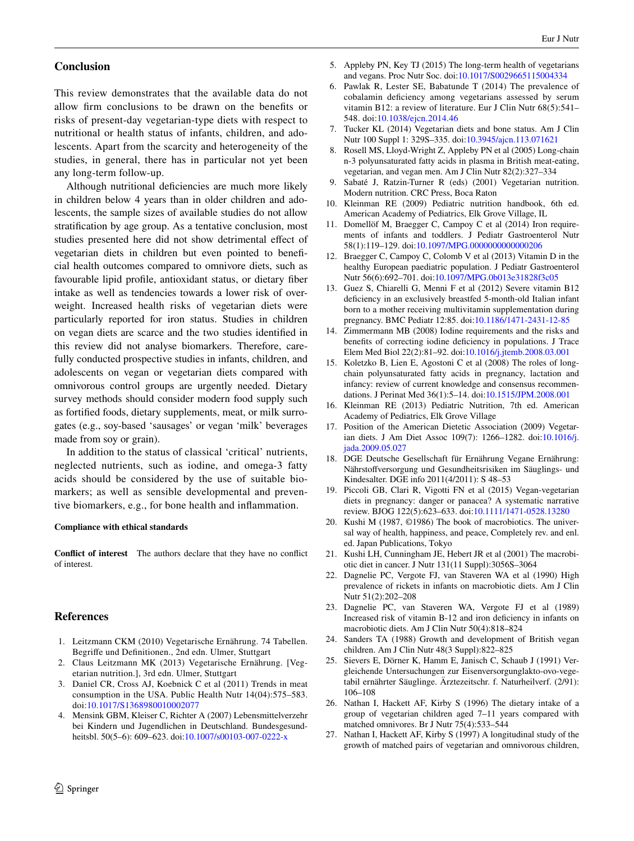# **Conclusion**

This review demonstrates that the available data do not allow firm conclusions to be drawn on the benefits or risks of present-day vegetarian-type diets with respect to nutritional or health status of infants, children, and adolescents. Apart from the scarcity and heterogeneity of the studies, in general, there has in particular not yet been any long-term follow-up.

Although nutritional deficiencies are much more likely in children below 4 years than in older children and adolescents, the sample sizes of available studies do not allow stratification by age group. As a tentative conclusion, most studies presented here did not show detrimental effect of vegetarian diets in children but even pointed to beneficial health outcomes compared to omnivore diets, such as favourable lipid profile, antioxidant status, or dietary fiber intake as well as tendencies towards a lower risk of overweight. Increased health risks of vegetarian diets were particularly reported for iron status. Studies in children on vegan diets are scarce and the two studies identified in this review did not analyse biomarkers. Therefore, carefully conducted prospective studies in infants, children, and adolescents on vegan or vegetarian diets compared with omnivorous control groups are urgently needed. Dietary survey methods should consider modern food supply such as fortified foods, dietary supplements, meat, or milk surrogates (e.g., soy-based 'sausages' or vegan 'milk' beverages made from soy or grain).

In addition to the status of classical 'critical' nutrients, neglected nutrients, such as iodine, and omega-3 fatty acids should be considered by the use of suitable biomarkers; as well as sensible developmental and preventive biomarkers, e.g., for bone health and inflammation.

#### **Compliance with ethical standards**

**Conflict of interest** The authors declare that they have no conflict of interest.

### **References**

- <span id="page-19-0"></span>1. Leitzmann CKM (2010) Vegetarische Ernährung. 74 Tabellen. Begriffe und Definitionen., 2nd edn. Ulmer, Stuttgart
- <span id="page-19-1"></span>2. Claus Leitzmann MK (2013) Vegetarische Ernährung. [Vegetarian nutrition.], 3rd edn. Ulmer, Stuttgart
- <span id="page-19-2"></span>3. Daniel CR, Cross AJ, Koebnick C et al (2011) Trends in meat consumption in the USA. Public Health Nutr 14(04):575–583. doi:[10.1017/S1368980010002077](http://dx.doi.org/10.1017/S1368980010002077)
- <span id="page-19-3"></span>4. Mensink GBM, Kleiser C, Richter A (2007) Lebensmittelverzehr bei Kindern und Jugendlichen in Deutschland. Bundesgesundheitsbl. 50(5–6): 609–623. doi:[10.1007/s00103-007-0222-x](http://dx.doi.org/10.1007/s00103-007-0222-x)
- <span id="page-19-4"></span>5. Appleby PN, Key TJ (2015) The long-term health of vegetarians and vegans. Proc Nutr Soc. doi:[10.1017/S0029665115004334](http://dx.doi.org/10.1017/S0029665115004334)
- <span id="page-19-5"></span>6. Pawlak R, Lester SE, Babatunde T (2014) The prevalence of cobalamin deficiency among vegetarians assessed by serum vitamin B12: a review of literature. Eur J Clin Nutr 68(5):541– 548. doi[:10.1038/ejcn.2014.46](http://dx.doi.org/10.1038/ejcn.2014.46)
- 7. Tucker KL (2014) Vegetarian diets and bone status. Am J Clin Nutr 100 Suppl 1: 329S–335. doi[:10.3945/ajcn.113.071621](http://dx.doi.org/10.3945/ajcn.113.071621)
- 8. Rosell MS, Lloyd-Wright Z, Appleby PN et al (2005) Long-chain n-3 polyunsaturated fatty acids in plasma in British meat-eating, vegetarian, and vegan men. Am J Clin Nutr 82(2):327–334
- <span id="page-19-6"></span>9. Sabaté J, Ratzin-Turner R (eds) (2001) Vegetarian nutrition. Modern nutrition. CRC Press, Boca Raton
- <span id="page-19-7"></span>10. Kleinman RE (2009) Pediatric nutrition handbook, 6th ed. American Academy of Pediatrics, Elk Grove Village, IL
- <span id="page-19-8"></span>11. Domellöf M, Braegger C, Campoy C et al (2014) Iron requirements of infants and toddlers. J Pediatr Gastroenterol Nutr 58(1):119–129. doi[:10.1097/MPG.0000000000000206](http://dx.doi.org/10.1097/MPG.0000000000000206)
- <span id="page-19-9"></span>12. Braegger C, Campoy C, Colomb V et al (2013) Vitamin D in the healthy European paediatric population. J Pediatr Gastroenterol Nutr 56(6):692–701. doi:[10.1097/MPG.0b013e31828f3c05](http://dx.doi.org/10.1097/MPG.0b013e31828f3c05)
- <span id="page-19-10"></span>13. Guez S, Chiarelli G, Menni F et al (2012) Severe vitamin B12 deficiency in an exclusively breastfed 5-month-old Italian infant born to a mother receiving multivitamin supplementation during pregnancy. BMC Pediatr 12:85. doi[:10.1186/1471-2431-12-85](http://dx.doi.org/10.1186/1471-2431-12-85)
- <span id="page-19-11"></span>14. Zimmermann MB (2008) Iodine requirements and the risks and benefits of correcting iodine deficiency in populations. J Trace Elem Med Biol 22(2):81–92. doi[:10.1016/j.jtemb.2008.03.001](http://dx.doi.org/10.1016/j.jtemb.2008.03.001)
- <span id="page-19-12"></span>15. Koletzko B, Lien E, Agostoni C et al (2008) The roles of longchain polyunsaturated fatty acids in pregnancy, lactation and infancy: review of current knowledge and consensus recommendations. J Perinat Med 36(1):5–14. doi[:10.1515/JPM.2008.001](http://dx.doi.org/10.1515/JPM.2008.001)
- <span id="page-19-13"></span>16. Kleinman RE (2013) Pediatric Nutrition, 7th ed. American Academy of Pediatrics, Elk Grove Village
- <span id="page-19-14"></span>17. Position of the American Dietetic Association (2009) Vegetarian diets. J Am Diet Assoc 109(7): 1266–1282. doi:[10.1016/j.](http://dx.doi.org/10.1016/j.jada.2009.05.027) [jada.2009.05.027](http://dx.doi.org/10.1016/j.jada.2009.05.027)
- <span id="page-19-15"></span>18. DGE Deutsche Gesellschaft für Ernährung Vegane Ernährung: Nährstoffversorgung und Gesundheitsrisiken im Säuglings- und Kindesalter. DGE info 2011(4/2011): S 48–53
- <span id="page-19-16"></span>19. Piccoli GB, Clari R, Vigotti FN et al (2015) Vegan-vegetarian diets in pregnancy: danger or panacea? A systematic narrative review. BJOG 122(5):623–633. doi[:10.1111/1471-0528.13280](http://dx.doi.org/10.1111/1471-0528.13280)
- <span id="page-19-17"></span>20. Kushi M (1987, ©1986) The book of macrobiotics. The universal way of health, happiness, and peace, Completely rev. and enl. ed. Japan Publications, Tokyo
- <span id="page-19-18"></span>21. Kushi LH, Cunningham JE, Hebert JR et al (2001) The macrobiotic diet in cancer. J Nutr 131(11 Suppl):3056S–3064
- <span id="page-19-19"></span>22. Dagnelie PC, Vergote FJ, van Staveren WA et al (1990) High prevalence of rickets in infants on macrobiotic diets. Am J Clin Nutr 51(2):202–208
- <span id="page-19-20"></span>23. Dagnelie PC, van Staveren WA, Vergote FJ et al (1989) Increased risk of vitamin B-12 and iron deficiency in infants on macrobiotic diets. Am J Clin Nutr 50(4):818–824
- <span id="page-19-21"></span>24. Sanders TA (1988) Growth and development of British vegan children. Am J Clin Nutr 48(3 Suppl):822–825
- <span id="page-19-22"></span>25. Sievers E, Dörner K, Hamm E, Janisch C, Schaub J (1991) Vergleichende Untersuchungen zur Eisenversorgunglakto-ovo-vegetabil ernährter Säuglinge. Ärztezeitschr. f. Naturheilverf. (2/91): 106–108
- <span id="page-19-23"></span>26. Nathan I, Hackett AF, Kirby S (1996) The dietary intake of a group of vegetarian children aged 7–11 years compared with matched omnivores. Br J Nutr 75(4):533–544
- <span id="page-19-24"></span>27. Nathan I, Hackett AF, Kirby S (1997) A longitudinal study of the growth of matched pairs of vegetarian and omnivorous children,